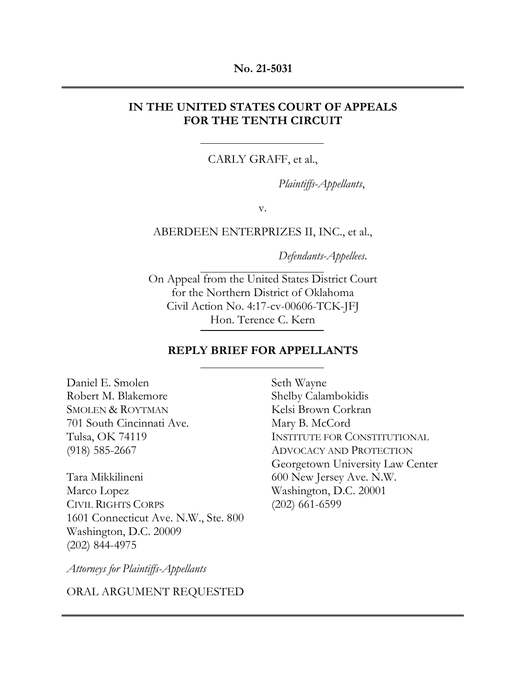### **No. 21-5031**

## **IN THE UNITED STATES COURT OF APPEALS FOR THE TENTH CIRCUIT**

CARLY GRAFF, et al.,

*Plaintiffs-Appellants*,

v.

ABERDEEN ENTERPRIZES II, INC., et al.,

*Defendants-Appellees*.

On Appeal from the United States District Court for the Northern District of Oklahoma Civil Action No. 4:17-cv-00606-TCK-JFJ Hon. Terence C. Kern

## **REPLY BRIEF FOR APPELLANTS**

Seth Wayne

Daniel E. Smolen Robert M. Blakemore SMOLEN & ROYTMAN 701 South Cincinnati Ave. Tulsa, OK 74119 (918) 585-2667

Tara Mikkilineni Marco Lopez CIVIL RIGHTS CORPS 1601 Connecticut Ave. N.W., Ste. 800 Washington, D.C. 20009 (202) 844-4975

Shelby Calambokidis Kelsi Brown Corkran Mary B. McCord INSTITUTE FOR CONSTITUTIONAL ADVOCACY AND PROTECTION Georgetown University Law Center 600 New Jersey Ave. N.W. Washington, D.C. 20001 (202) 661-6599

*Attorneys for Plaintiffs-Appellants* 

ORAL ARGUMENT REQUESTED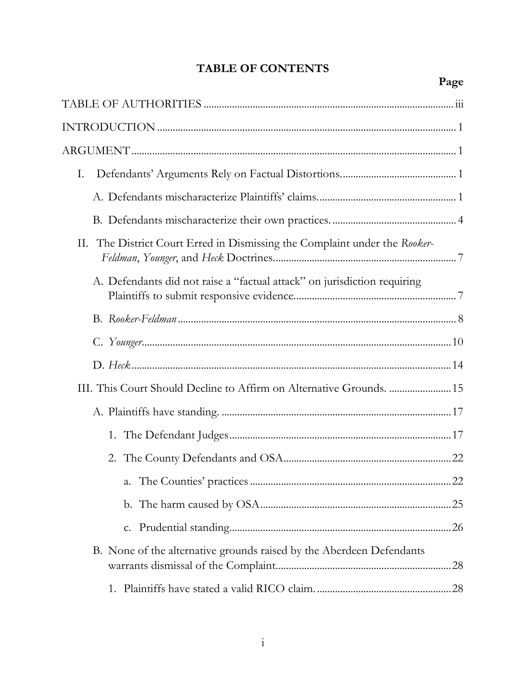# **TABLE OF CONTENTS**

| Ι.                                                                           |  |
|------------------------------------------------------------------------------|--|
|                                                                              |  |
|                                                                              |  |
| The District Court Erred in Dismissing the Complaint under the Rooker-<br>П. |  |
| A. Defendants did not raise a "factual attack" on jurisdiction requiring     |  |
|                                                                              |  |
|                                                                              |  |
|                                                                              |  |
|                                                                              |  |
|                                                                              |  |
|                                                                              |  |
|                                                                              |  |
|                                                                              |  |
|                                                                              |  |
|                                                                              |  |
| B. None of the alternative grounds raised by the Aberdeen Defendants         |  |
|                                                                              |  |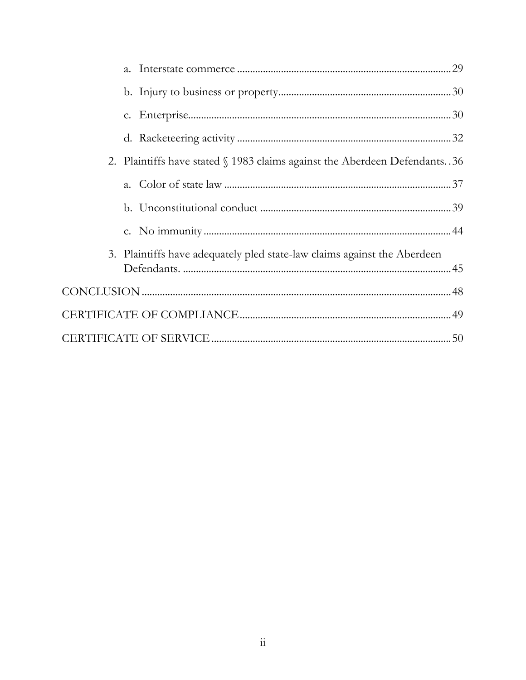| 2. Plaintiffs have stated \\$ 1983 claims against the Aberdeen Defendants. 36 |  |
|-------------------------------------------------------------------------------|--|
|                                                                               |  |
|                                                                               |  |
|                                                                               |  |
| 3. Plaintiffs have adequately pled state-law claims against the Aberdeen      |  |
|                                                                               |  |
|                                                                               |  |
|                                                                               |  |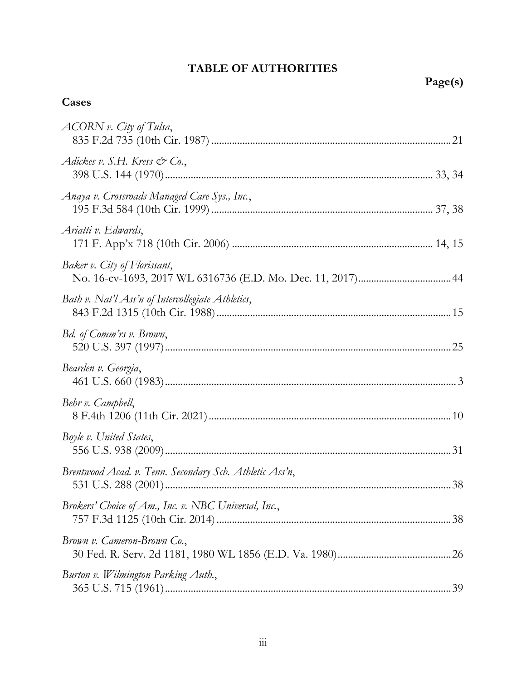# **TABLE OF AUTHORITIES**

# <span id="page-3-0"></span>**Cases**

| ACORN v. City of Tulsa,                                 |  |
|---------------------------------------------------------|--|
| Adickes v. S.H. Kress & Co.,                            |  |
| Anaya v. Crossroads Managed Care Sys., Inc.,            |  |
| Ariatti v. Edwards,                                     |  |
| Baker v. City of Florissant,                            |  |
| Bath v. Nat'l Ass'n of Intercollegiate Athletics,       |  |
| Bd. of Comm'rs v. Brown,                                |  |
| Bearden v. Georgia,                                     |  |
| Behr v. Campbell,                                       |  |
| Boyle v. United States,                                 |  |
| Brentwood Acad. v. Tenn. Secondary Sch. Athletic Ass'n, |  |
| Brokers' Choice of Am., Inc. v. NBC Universal, Inc.,    |  |
| Brown v. Cameron-Brown Co.,                             |  |
| Burton v. Wilmington Parking Auth.,                     |  |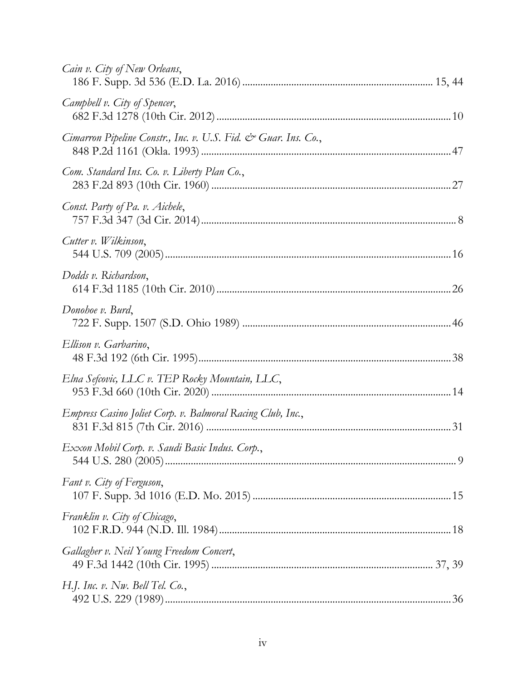| Cain v. City of New Orleans,                                   |  |
|----------------------------------------------------------------|--|
| Campbell v. City of Spencer,                                   |  |
| Cimarron Pipeline Constr., Inc. v. U.S. Fid. & Guar. Ins. Co., |  |
| Com. Standard Ins. Co. v. Liberty Plan Co.,                    |  |
| Const. Party of Pa. v. Aichele,                                |  |
| Cutter v. Wilkinson,                                           |  |
| Dodds v. Richardson,                                           |  |
| Donohoe v. Burd,                                               |  |
| Ellison v. Garbarino,                                          |  |
| Elna Sefcovic, LLC v. TEP Rocky Mountain, LLC,                 |  |
| Empress Casino Joliet Corp. v. Balmoral Racing Club, Inc.,     |  |
| Exxon Mobil Corp. v. Saudi Basic Indus. Corp.,                 |  |
| Fant v. City of Ferguson,                                      |  |
| Franklin v. City of Chicago,                                   |  |
| Gallagher v. Neil Young Freedom Concert,                       |  |
| H.J. Inc. v. Nw. Bell Tel. Co.,                                |  |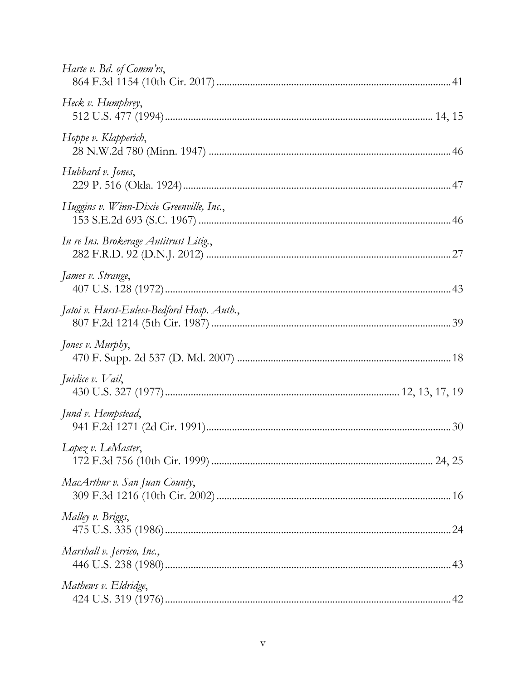| Harte v. Bd. of Comm'rs,                   |  |
|--------------------------------------------|--|
| Heck v. Humphrey,                          |  |
| Hoppe v. Klapperich,                       |  |
| Hubbard v. Jones,                          |  |
| Huggins v. Winn-Dixie Greenville, Inc.,    |  |
| In re Ins. Brokerage Antitrust Litig.,     |  |
| James v. Strange,                          |  |
| Jatoi v. Hurst-Euless-Bedford Hosp. Auth., |  |
| Jones v. Murphy,                           |  |
| Juidice v. Vail,                           |  |
| Jund v. Hempstead,                         |  |
| $L$ opez v. LeMaster,                      |  |
| MacArthur v. San Juan County,              |  |
| Malley v. Briggs,                          |  |
| Marshall v. Jerrico, Inc.,                 |  |
| Mathews v. Eldridge,                       |  |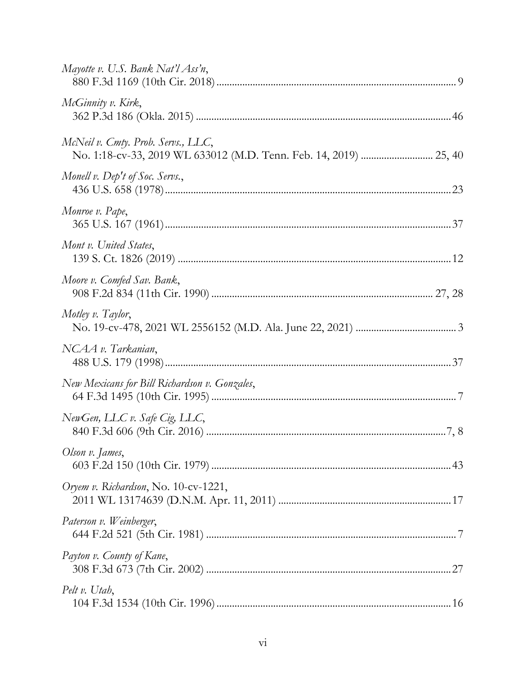| Mayotte v. U.S. Bank Nat'l Ass'n,             |
|-----------------------------------------------|
| McGinnity v. Kirk,                            |
| McNeil v. Cmty. Prob. Servs., LLC,            |
| Monell v. Dep't of Soc. Servs.,               |
| Monroe v. Pape,                               |
| Mont v. United States,                        |
| Moore v. Comfed Sav. Bank,                    |
| Motley v. Taylor,                             |
| NCAA v. Tarkanian,                            |
| New Mexicans for Bill Richardson v. Gonzales, |
| NewGen, LLC v. Safe Cig, LLC,                 |
| Olson v. James,                               |
| Oryem v. Richardson, No. 10-cv-1221,          |
| Paterson v. Weinberger,                       |
| Payton v. County of Kane,                     |
| Pelt v. Utah,                                 |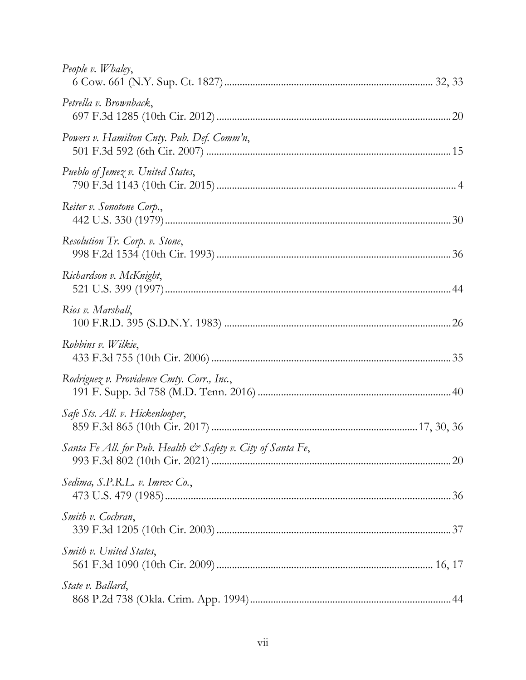| People v. Whaley,                                           |  |
|-------------------------------------------------------------|--|
| Petrella v. Brownback,                                      |  |
| Powers v. Hamilton Cnty. Pub. Def. Comm'n,                  |  |
| Pueblo of Jemez v. United States,                           |  |
| Reiter v. Sonotone Corp.,                                   |  |
| Resolution Tr. Corp. v. Stone,                              |  |
| Richardson v. McKnight,                                     |  |
| Rios v. Marshall,                                           |  |
| Robbins v. Wilkie,                                          |  |
| Rodriguez v. Providence Cmty. Corr., Inc.,                  |  |
| Safe Sts. All. v. Hickenlooper,                             |  |
| Santa Fe All. for Pub. Health & Safety v. City of Santa Fe, |  |
| Sedima, S.P.R.L. v. Imrex Co.,                              |  |
| Smith v. Cochran,                                           |  |
| <i>Smith v.</i> United States,                              |  |
| State v. Ballard,                                           |  |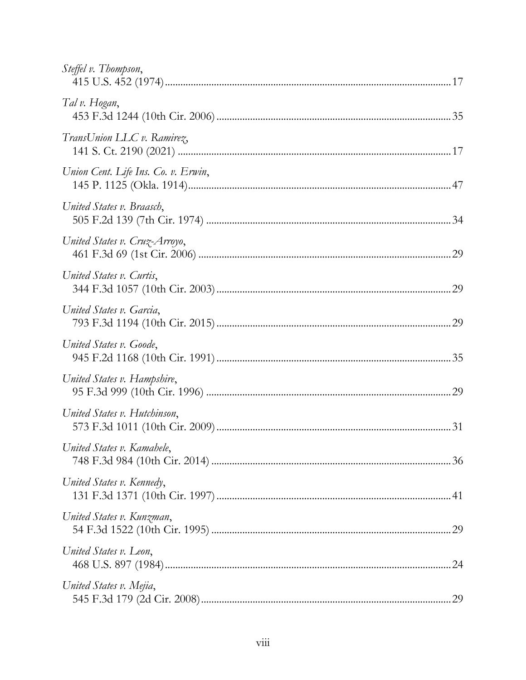| Steffel v. Thompson,                |  |
|-------------------------------------|--|
| Tal v. Hogan,                       |  |
| TransUnion LLC v. Ramirez,          |  |
| Union Cent. Life Ins. Co. v. Erwin, |  |
| United States v. Braasch,           |  |
| United States v. Cruz-Arroyo,       |  |
| United States v. Curtis,            |  |
| United States v. Garcia,            |  |
| United States v. Goode,             |  |
| United States v. Hampshire,         |  |
| United States v. Hutchinson,        |  |
| United States v. Kamahele,          |  |
| United States v. Kennedy,           |  |
| United States v. Kunzman,           |  |
| United States v. Leon,              |  |
| United States v. Mejia,             |  |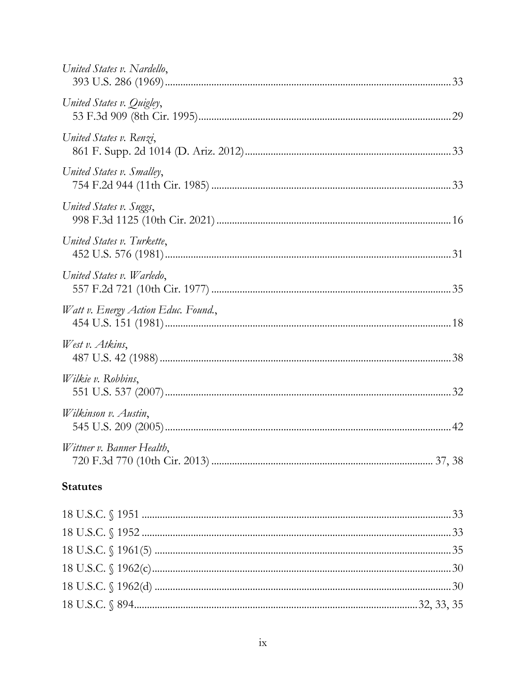| United States v. Nardello,          |  |
|-------------------------------------|--|
| United States v. Quigley,           |  |
| United States v. Renzi,             |  |
| United States v. Smalley,           |  |
| United States v. Suggs,             |  |
| United States v. Turkette,          |  |
| United States v. Warledo,           |  |
| Watt v. Energy Action Educ. Found., |  |
| West v. Atkins,                     |  |
| Wilkie v. Robbins,                  |  |
| Wilkinson v. Austin,                |  |
| Wittner v. Banner Health,           |  |
| <b>Statutes</b>                     |  |
|                                     |  |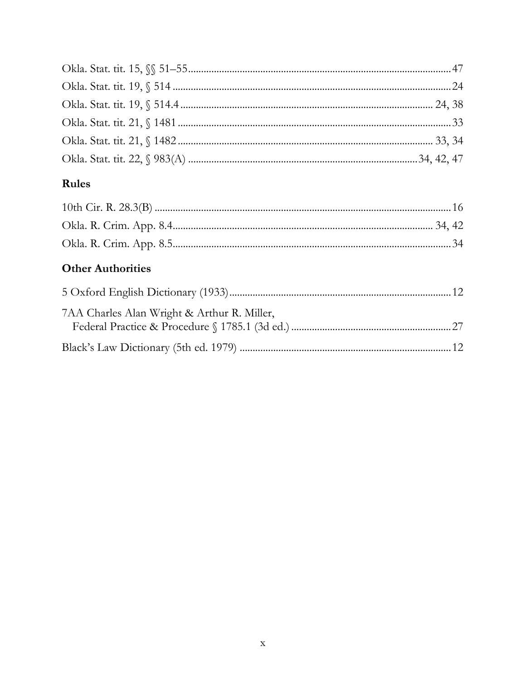# Rules

# **Other Authorities**

| 7AA Charles Alan Wright & Arthur R. Miller, |  |
|---------------------------------------------|--|
|                                             |  |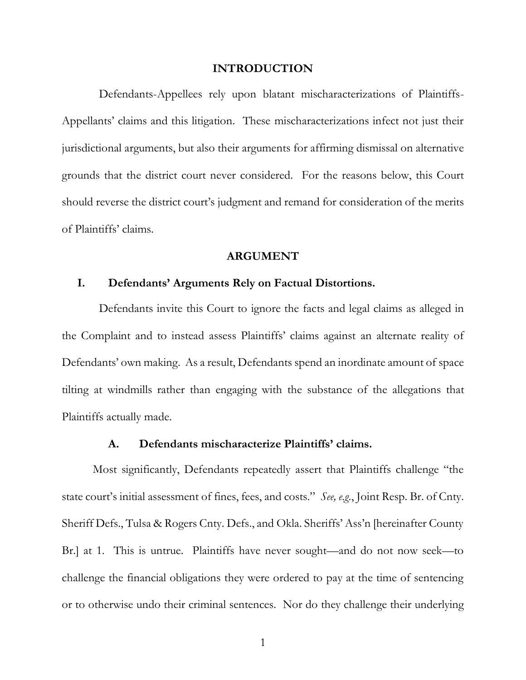#### **INTRODUCTION**

<span id="page-11-0"></span> Defendants-Appellees rely upon blatant mischaracterizations of Plaintiffs- Appellants' claims and this litigation. These mischaracterizations infect not just their jurisdictional arguments, but also their arguments for affirming dismissal on alternative grounds that the district court never considered. For the reasons below, this Court should reverse the district court's judgment and remand for consideration of the merits of Plaintiffs' claims.

#### **ARGUMENT**

### <span id="page-11-2"></span><span id="page-11-1"></span>**I. Defendants' Arguments Rely on Factual Distortions.**

 Defendants invite this Court to ignore the facts and legal claims as alleged in the Complaint and to instead assess Plaintiffs' claims against an alternate reality of Defendants' own making. As a result, Defendants spend an inordinate amount of space tilting at windmills rather than engaging with the substance of the allegations that Plaintiffs actually made.

#### **A. Defendants mischaracterize Plaintiffs' claims.**

<span id="page-11-3"></span> Most significantly, Defendants repeatedly assert that Plaintiffs challenge "the state court's initial assessment of fines, fees, and costs." *See, e.g.*, Joint Resp. Br. of Cnty. Sheriff Defs., Tulsa & Rogers Cnty. Defs., and Okla. Sheriffs' Ass'n [hereinafter County Br.] at 1. This is untrue. Plaintiffs have never sought—and do not now seek—to challenge the financial obligations they were ordered to pay at the time of sentencing or to otherwise undo their criminal sentences. Nor do they challenge their underlying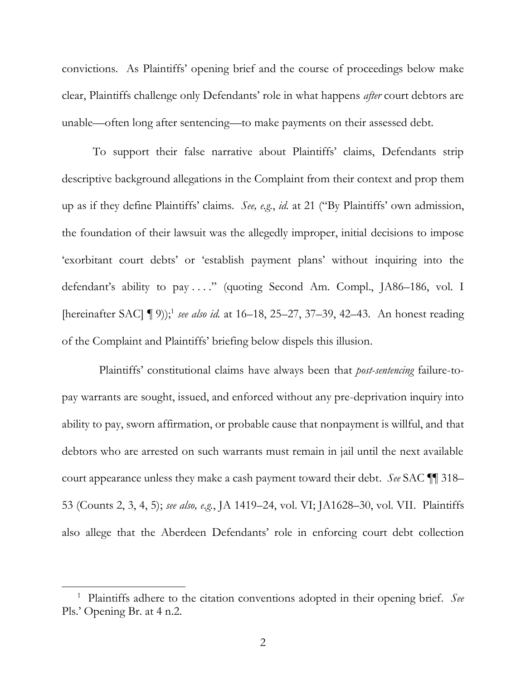convictions. As Plaintiffs' opening brief and the course of proceedings below make unable—often long after sentencing—to make payments on their assessed debt. unable—often long after sentencing—to make payments on their assessed debt. To support their false narrative about Plaintiffs' claims, Defendants strip clear, Plaintiffs challenge only Defendants' role in what happens *after* court debtors are

 up as if they define Plaintiffs' claims. *See, e.g.*, *id.* at 21 ("By Plaintiffs' own admission, the foundation of their lawsuit was the allegedly improper, initial decisions to impose 'exorbitant court debts' or 'establish payment plans' without inquiring into the defendant's ability to pay . . . ." (quoting Second Am. Compl., JA86–186, vol. I [hereinafter SAC] ¶ 9)); <sup>1</sup>*see also id.* at 16–18, 25–27, 37–39, 42–43. An honest reading descriptive background allegations in the Complaint from their context and prop them of the Complaint and Plaintiffs' briefing below dispels this illusion.

 Plaintiffs' constitutional claims have always been that *post-sentencing* failure-to- ability to pay, sworn affirmation, or probable cause that nonpayment is willful, and that debtors who are arrested on such warrants must remain in jail until the next available court appearance unless they make a cash payment toward their debt. *See* SAC ¶¶ 318– 53 (Counts 2, 3, 4, 5); *see also, e.g.*, JA 1419–24, vol. VI; JA1628–30, vol. VII. Plaintiffs also allege that the Aberdeen Defendants' role in enforcing court debt collection pay warrants are sought, issued, and enforced without any pre-deprivation inquiry into

 1 Plaintiffs adhere to the citation conventions adopted in their opening brief. *See*  Pls.' Opening Br. at 4 n.2.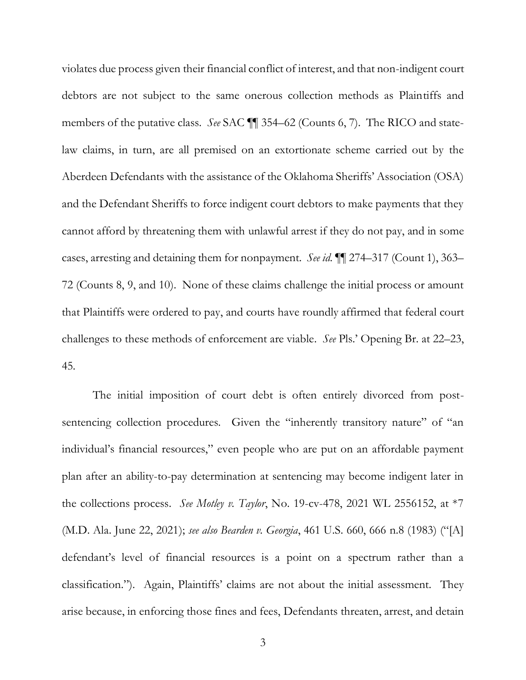<span id="page-13-0"></span> violates due process given their financial conflict of interest, and that non-indigent court debtors are not subject to the same onerous collection methods as Plaintiffs and members of the putative class. *See* SAC ¶¶ 354–62 (Counts 6, 7). The RICO and state- law claims, in turn, are all premised on an extortionate scheme carried out by the Aberdeen Defendants with the assistance of the Oklahoma Sheriffs' Association (OSA) and the Defendant Sheriffs to force indigent court debtors to make payments that they cases, arresting and detaining them for nonpayment. *See id.* ¶¶ 274–317 (Count 1), 363– cannot afford by threatening them with unlawful arrest if they do not pay, and in some 72 (Counts 8, 9, and 10). None of these claims challenge the initial process or amount that Plaintiffs were ordered to pay, and courts have roundly affirmed that federal court challenges to these methods of enforcement are viable. *See* Pls.' Opening Br. at 22–23, 45*.* 

 The initial imposition of court debt is often entirely divorced from postsentencing collection procedures. Given the "inherently transitory nature" of "an individual's financial resources," even people who are put on an affordable payment plan after an ability-to-pay determination at sentencing may become indigent later in the collections process. *See Motley v. Taylor*, No. 19-cv-478, 2021 WL 2556152, at \*7 (M.D. Ala. June 22, 2021); *see also Bearden v. Georgia*, 461 U.S. 660, 666 n.8 (1983) ("[A] defendant's level of financial resources is a point on a spectrum rather than a classification."). Again, Plaintiffs' claims are not about the initial assessment. They arise because, in enforcing those fines and fees, Defendants threaten, arrest, and detain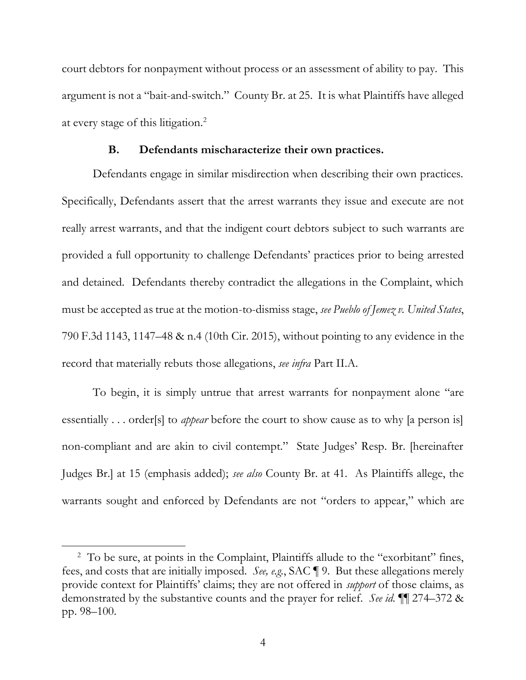<span id="page-14-1"></span> court debtors for nonpayment without process or an assessment of ability to pay. This argument is not a "bait-and-switch." County Br. at 25. It is what Plaintiffs have alleged at every stage of this litigation.2

#### **B. Defendants mischaracterize their own practices.**

<span id="page-14-0"></span> Defendants engage in similar misdirection when describing their own practices. Specifically, Defendants assert that the arrest warrants they issue and execute are not really arrest warrants, and that the indigent court debtors subject to such warrants are provided a full opportunity to challenge Defendants' practices prior to being arrested and detained. Defendants thereby contradict the allegations in the Complaint, which must be accepted as true at the motion-to-dismiss stage, *see Pueblo of Jemez v. United States*, 790 F.3d 1143, 1147–48 & n.4 (10th Cir. 2015), without pointing to any evidence in the record that materially rebuts those allegations, *see infra* Part II[.A.](#page-17-1)

 To begin, it is simply untrue that arrest warrants for nonpayment alone "are essentially . . . order[s] to *appear* before the court to show cause as to why [a person is] non-compliant and are akin to civil contempt." State Judges' Resp. Br. [hereinafter Judges Br.] at 15 (emphasis added); *see also* County Br. at 41. As Plaintiffs allege, the warrants sought and enforced by Defendants are not "orders to appear," which are

<sup>&</sup>lt;sup>2</sup> To be sure, at points in the Complaint, Plaintiffs allude to the "exorbitant" fines, fees, and costs that are initially imposed. *See, e.g.*, SAC ¶ 9. But these allegations merely provide context for Plaintiffs' claims; they are not offered in *support* of those claims, as demonstrated by the substantive counts and the prayer for relief. *See id.* ¶¶ 274–372 & pp. 98–100.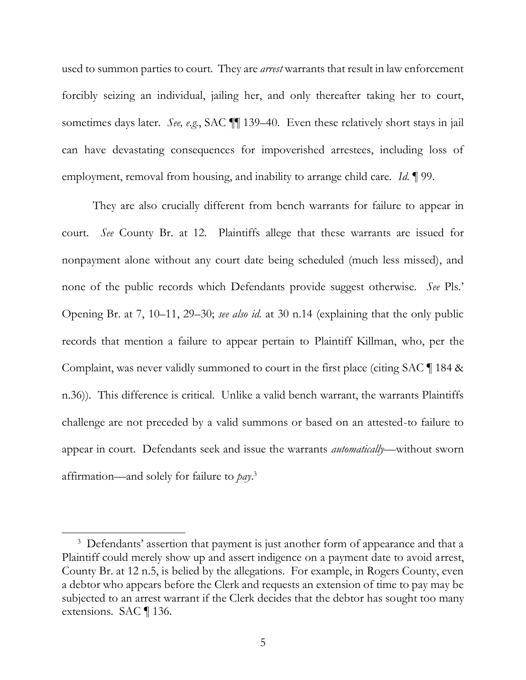used to summon parties to court. They are *arrest* warrants that result in law enforcement forcibly seizing an individual, jailing her, and only thereafter taking her to court, sometimes days later. *See, e.g.*, SAC ¶¶ 139–40. Even these relatively short stays in jail can have devastating consequences for impoverished arrestees, including loss of employment, removal from housing, and inability to arrange child care. *Id.* ¶ 99.

 They are also crucially different from bench warrants for failure to appear in court. *See* County Br. at 12. Plaintiffs allege that these warrants are issued for nonpayment alone without any court date being scheduled (much less missed), and none of the public records which Defendants provide suggest otherwise. *See* Pls.' Opening Br. at 7, 10–11, 29–30; *see also id.* at 30 n.14 (explaining that the only public records that mention a failure to appear pertain to Plaintiff Killman, who, per the Complaint, was never validly summoned to court in the first place (citing SAC ¶ 184 & n.36)). This difference is critical. Unlike a valid bench warrant, the warrants Plaintiffs challenge are not preceded by a valid summons or based on an attested-to failure to appear in court. Defendants seek and issue the warrants *automatically*—without sworn affirmation—and solely for failure to *pay*. 3

<sup>&</sup>lt;sup>3</sup> Defendants' assertion that payment is just another form of appearance and that a Plaintiff could merely show up and assert indigence on a payment date to avoid arrest, a debtor who appears before the Clerk and requests an extension of time to pay may be County Br. at 12 n.5, is belied by the allegations. For example, in Rogers County, even subjected to an arrest warrant if the Clerk decides that the debtor has sought too many extensions. SAC ¶ 136.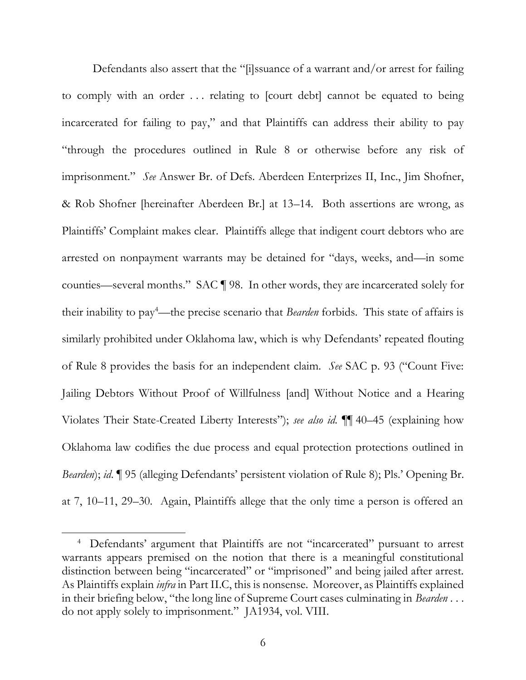Defendants also assert that the "[i]ssuance of a warrant and/or arrest for failing to comply with an order . . . relating to [court debt] cannot be equated to being incarcerated for failing to pay," and that Plaintiffs can address their ability to pay "through the procedures outlined in Rule 8 or otherwise before any risk of imprisonment." *See* Answer Br. of Defs. Aberdeen Enterprizes II, Inc., Jim Shofner, & Rob Shofner [hereinafter Aberdeen Br.] at 13–14. Both assertions are wrong, as Plaintiffs' Complaint makes clear. Plaintiffs allege that indigent court debtors who are arrested on nonpayment warrants may be detained for "days, weeks, and—in some counties—several months." SAC ¶ 98. In other words, they are incarcerated solely for their inability to pay4 —the precise scenario that *Bearden* forbids. This state of affairs is similarly prohibited under Oklahoma law, which is why Defendants' repeated flouting of Rule 8 provides the basis for an independent claim. *See* SAC p. 93 ("Count Five: Jailing Debtors Without Proof of Willfulness [and] Without Notice and a Hearing Violates Their State-Created Liberty Interests"); *see also id.* ¶¶ 40–45 (explaining how Oklahoma law codifies the due process and equal protection protections outlined in at 7, 10–11, 29–30. Again, Plaintiffs allege that the only time a person is offered an *Bearden*); *id*. ¶ 95 (alleging Defendants' persistent violation of Rule 8); Pls.' Opening Br.

<sup>&</sup>lt;sup>4</sup> Defendants' argument that Plaintiffs are not "incarcerated" pursuant to arrest warrants appears premised on the notion that there is a meaningful constitutional distinction between being "incarcerated" or "imprisoned" and being jailed after arrest. As Plaintiffs explain *infra* in Part I[I.C,](#page-20-0) this is nonsense. Moreover, as Plaintiffs explained in their briefing below, "the long line of Supreme Court cases culminating in *Bearden* . . . do not apply solely to imprisonment." JA1934, vol. VIII.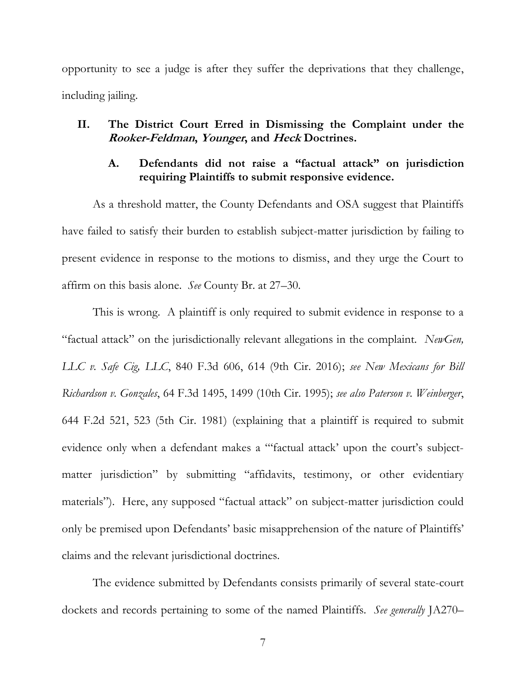<span id="page-17-2"></span> opportunity to see a judge is after they suffer the deprivations that they challenge, including jailing.

## <span id="page-17-1"></span><span id="page-17-0"></span> **II. The District Court Erred in Dismissing the Complaint under the Rooker-Feldman, Younger, and Heck Doctrines.**

## **A. Defendants did not raise a "factual attack" on jurisdiction requiring Plaintiffs to submit responsive evidence.**

 As a threshold matter, the County Defendants and OSA suggest that Plaintiffs have failed to satisfy their burden to establish subject-matter jurisdiction by failing to present evidence in response to the motions to dismiss, and they urge the Court to affirm on this basis alone. *See* County Br. at 27–30.

 This is wrong. A plaintiff is only required to submit evidence in response to a "factual attack" on the jurisdictionally relevant allegations in the complaint. *NewGen, LLC v. Safe Cig, LLC*, 840 F.3d 606, 614 (9th Cir. 2016); *see New Mexicans for Bill Richardson v. Gonzales*, 64 F.3d 1495, 1499 (10th Cir. 1995); *see also Paterson v. Weinberger*, 644 F.2d 521, 523 (5th Cir. 1981) (explaining that a plaintiff is required to submit evidence only when a defendant makes a "'factual attack' upon the court's subject- matter jurisdiction" by submitting "affidavits, testimony, or other evidentiary materials"). Here, any supposed "factual attack" on subject-matter jurisdiction could only be premised upon Defendants' basic misapprehension of the nature of Plaintiffs' claims and the relevant jurisdictional doctrines. claims and the relevant jurisdictional doctrines. The evidence submitted by Defendants consists primarily of several state-court

dockets and records pertaining to some of the named Plaintiffs. *See generally* JA270–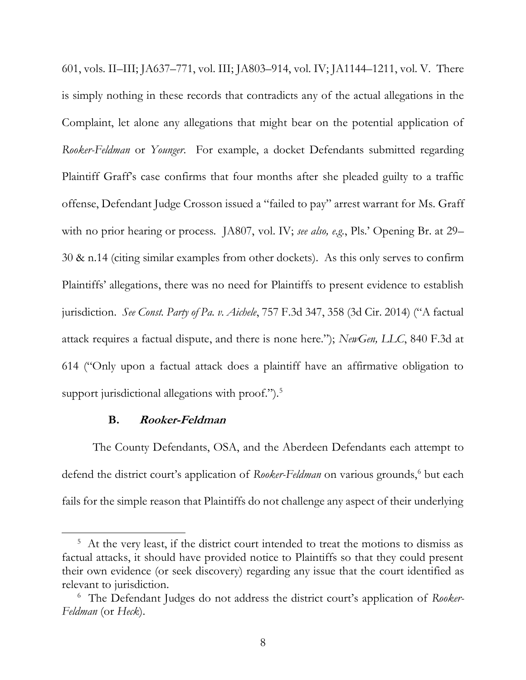<span id="page-18-1"></span> 601, vols. II–III; JA637–771, vol. III; JA803–914, vol. IV; JA1144–1211, vol. V. There is simply nothing in these records that contradicts any of the actual allegations in the Complaint, let alone any allegations that might bear on the potential application of *Rooker-Feldman* or *Younger*. For example, a docket Defendants submitted regarding Plaintiff Graff's case confirms that four months after she pleaded guilty to a traffic offense, Defendant Judge Crosson issued a "failed to pay" arrest warrant for Ms. Graff with no prior hearing or process. JA807, vol. IV; *see also, e.g.*, Pls.' Opening Br. at 29– 30 & n.14 (citing similar examples from other dockets). As this only serves to confirm Plaintiffs' allegations, there was no need for Plaintiffs to present evidence to establish jurisdiction. *See Const. Party of Pa. v. Aichele*, 757 F.3d 347, 358 (3d Cir. 2014) ("A factual attack requires a factual dispute, and there is none here."); *NewGen, LLC*, 840 F.3d at 614 ("Only upon a factual attack does a plaintiff have an affirmative obligation to support jurisdictional allegations with proof.").<sup>5</sup>

### **B. Rooker-Feldman**

<span id="page-18-0"></span> The County Defendants, OSA, and the Aberdeen Defendants each attempt to defend the district court's application of *Rooker-Feldman* on various grounds,<sup>6</sup> but each fails for the simple reason that Plaintiffs do not challenge any aspect of their underlying

 $5$  At the very least, if the district court intended to treat the motions to dismiss as factual attacks, it should have provided notice to Plaintiffs so that they could present their own evidence (or seek discovery) regarding any issue that the court identified as relevant to jurisdiction.

 <sup>6</sup>The Defendant Judges do not address the district court's application of *Rooker-*Feldman (or Heck). *Feldman* (or *Heck*). 8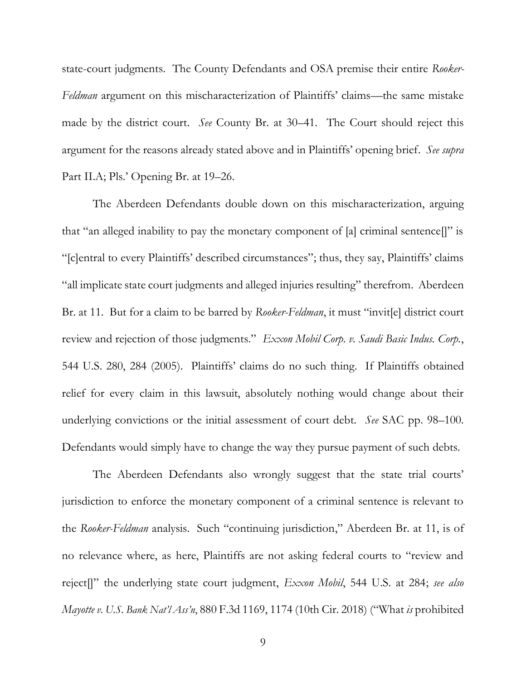<span id="page-19-0"></span> state-court judgments. The County Defendants and OSA premise their entire *Rooker- Feldman* argument on this mischaracterization of Plaintiffs' claims—the same mistake made by the district court. *See* County Br. at 30–41. The Court should reject this argument for the reasons already stated above and in Plaintiffs' opening brief. *See supra*  Part II.A; Pls.' Opening Br. at 19–26. Part II.A; Pls.' Opening Br. at 19–26. The Aberdeen Defendants double down on this mischaracterization, arguing

 that "an alleged inability to pay the monetary component of [a] criminal sentence[]" is "all implicate state court judgments and alleged injuries resulting" therefrom. Aberdeen Br. at 11. But for a claim to be barred by *Rooker-Feldman*, it must "invit[e] district court review and rejection of those judgments." *Exxon Mobil Corp. v. Saudi Basic Indus. Corp.*, 544 U.S. 280, 284 (2005). Plaintiffs' claims do no such thing. If Plaintiffs obtained relief for every claim in this lawsuit, absolutely nothing would change about their underlying convictions or the initial assessment of court debt. *See* SAC pp. 98–100. "[c]entral to every Plaintiffs' described circumstances"; thus, they say, Plaintiffs' claims Defendants would simply have to change the way they pursue payment of such debts.

 The Aberdeen Defendants also wrongly suggest that the state trial courts' jurisdiction to enforce the monetary component of a criminal sentence is relevant to the *Rooker-Feldman* analysis. Such "continuing jurisdiction," Aberdeen Br. at 11, is of no relevance where, as here, Plaintiffs are not asking federal courts to "review and reject[]" the underlying state court judgment, *Exxon Mobil*, 544 U.S. at 284; *see also Mayotte v. U.S. Bank Nat'l Ass'n*, 880 F.3d 1169, 1174 (10th Cir. 2018) ("What *is* prohibited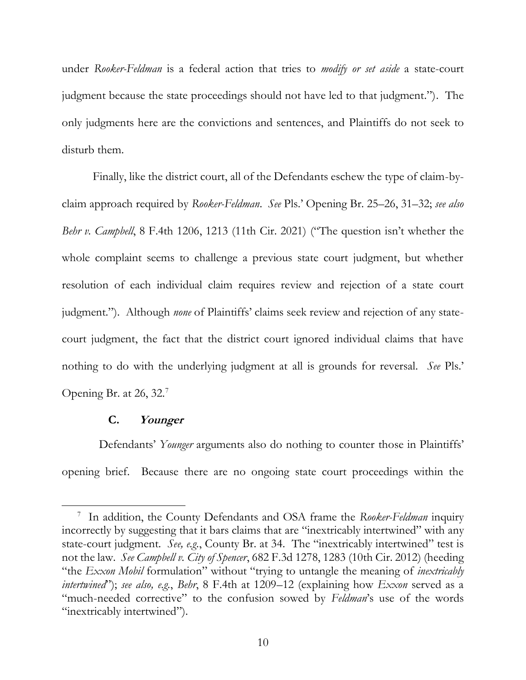<span id="page-20-1"></span> under *Rooker-Feldman* is a federal action that tries to *modify or set aside* a state-court judgment because the state proceedings should not have led to that judgment."). The only judgments here are the convictions and sentences, and Plaintiffs do not seek to disturb them.

 Finally, like the district court, all of the Defendants eschew the type of claim-by- claim approach required by *Rooker-Feldman*. *See* Pls.' Opening Br. 25–26, 31–32; *see also Behr v. Campbell*, 8 F.4th 1206, 1213 (11th Cir. 2021) ("The question isn't whether the whole complaint seems to challenge a previous state court judgment, but whether resolution of each individual claim requires review and rejection of a state court judgment."). Although *none* of Plaintiffs' claims seek review and rejection of any state- court judgment, the fact that the district court ignored individual claims that have nothing to do with the underlying judgment at all is grounds for reversal. *See* Pls.' Opening Br. at 26, 32.7

## **C. Younger**

<span id="page-20-0"></span> Defendants' *Younger* arguments also do nothing to counter those in Plaintiffs' opening brief. Because there are no ongoing state court proceedings within the

<sup>&</sup>lt;sup>7</sup> In addition, the County Defendants and OSA frame the *Rooker-Feldman* inquiry state-court judgment. *See, e.g.*, County Br. at 34. The "inextricably intertwined" test is not the law. *See Campbell v. City of Spencer*, 682 F.3d 1278, 1283 (10th Cir. 2012) (heeding "the *Exxon Mobil* formulation" without "trying to untangle the meaning of *inextricably intertwined*"); *see also, e.g.*, *Behr*, 8 F.4th at 1209–12 (explaining how *Exxon* served as a "much-needed corrective" to the confusion sowed by *Feldman*'s use of the words incorrectly by suggesting that it bars claims that are "inextricably intertwined" with any "inextricably intertwined").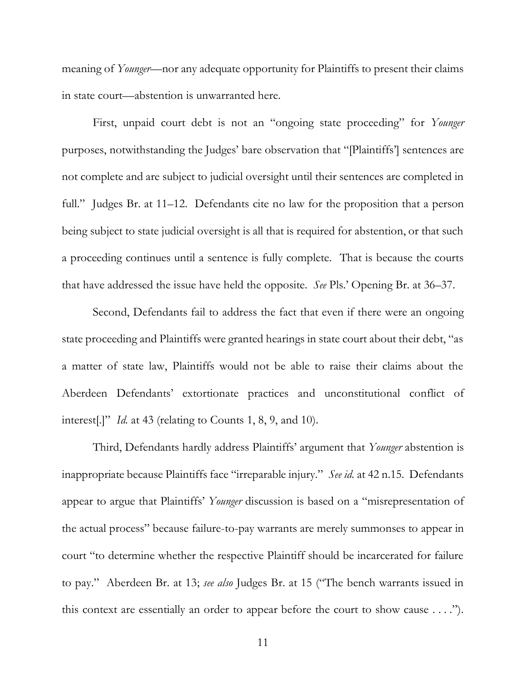meaning of *Younger*—nor any adequate opportunity for Plaintiffs to present their claims in state court—abstention is unwarranted here.

 in state court—abstention is unwarranted here. First, unpaid court debt is not an "ongoing state proceeding" for *Younger*  not complete and are subject to judicial oversight until their sentences are completed in full." Judges Br. at 11–12. Defendants cite no law for the proposition that a person being subject to state judicial oversight is all that is required for abstention, or that such a proceeding continues until a sentence is fully complete. That is because the courts that have addressed the issue have held the opposite. *See* Pls.' Opening Br. at 36–37. purposes, notwithstanding the Judges' bare observation that "[Plaintiffs'] sentences are

 Second, Defendants fail to address the fact that even if there were an ongoing state proceeding and Plaintiffs were granted hearings in state court about their debt, "as a matter of state law, Plaintiffs would not be able to raise their claims about the Aberdeen Defendants' extortionate practices and unconstitutional conflict of interest[.]" *Id.* at 43 (relating to Counts 1, 8, 9, and 10).

 Third, Defendants hardly address Plaintiffs' argument that *Younger* abstention is inappropriate because Plaintiffs face "irreparable injury." *See id.* at 42 n.15. Defendants appear to argue that Plaintiffs' *Younger* discussion is based on a "misrepresentation of court "to determine whether the respective Plaintiff should be incarcerated for failure to pay." Aberdeen Br. at 13; *see also* Judges Br. at 15 ("The bench warrants issued in this context are essentially an order to appear before the court to show cause . . . ."). the actual process" because failure-to-pay warrants are merely summonses to appear in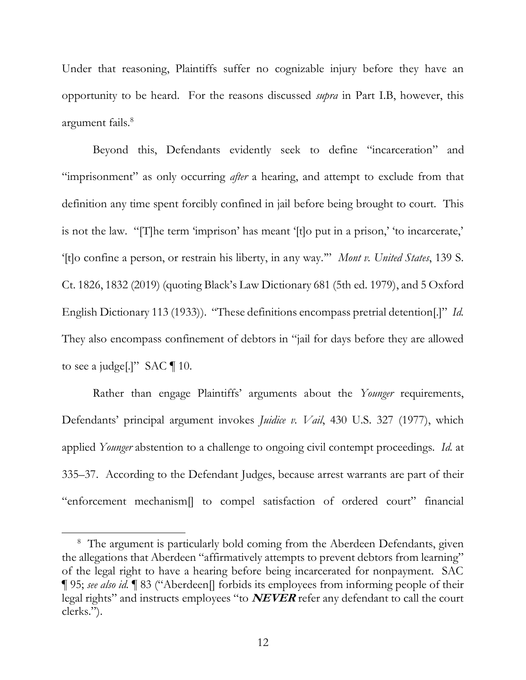<span id="page-22-0"></span> Under that reasoning, Plaintiffs suffer no cognizable injury before they have an opportunity to be heard. For the reasons discussed *supra* in Part I[.B,](#page-14-0) however, this argument fails.<sup>8</sup>

 Beyond this, Defendants evidently seek to define "incarceration" and "imprisonment" as only occurring *after* a hearing, and attempt to exclude from that definition any time spent forcibly confined in jail before being brought to court. This is not the law. "[T]he term 'imprison' has meant '[t]o put in a prison,' 'to incarcerate,' '[t]o confine a person, or restrain his liberty, in any way.'" *Mont v. United States*, 139 S. Ct. 1826, 1832 (2019) (quoting Black's Law Dictionary 681 (5th ed. 1979), and 5 Oxford English Dictionary 113 (1933)). "These definitions encompass pretrial detention[.]" *Id.*  They also encompass confinement of debtors in "jail for days before they are allowed to see a judge[.]" SAC  $\P$  10.

 Rather than engage Plaintiffs' arguments about the *Younger* requirements, Defendants' principal argument invokes *Juidice v. Vail*, 430 U.S. 327 (1977), which applied *Younger* abstention to a challenge to ongoing civil contempt proceedings. *Id.* at 335–37. According to the Defendant Judges, because arrest warrants are part of their "enforcement mechanism[] to compel satisfaction of ordered court" financial

<sup>&</sup>lt;sup>8</sup> The argument is particularly bold coming from the Aberdeen Defendants, given the allegations that Aberdeen "affirmatively attempts to prevent debtors from learning" of the legal right to have a hearing before being incarcerated for nonpayment. SAC legal rights" and instructs employees "to **NEVER** refer any defendant to call the court ¶ 95; *see also id.* ¶ 83 ("Aberdeen[] forbids its employees from informing people of their clerks.").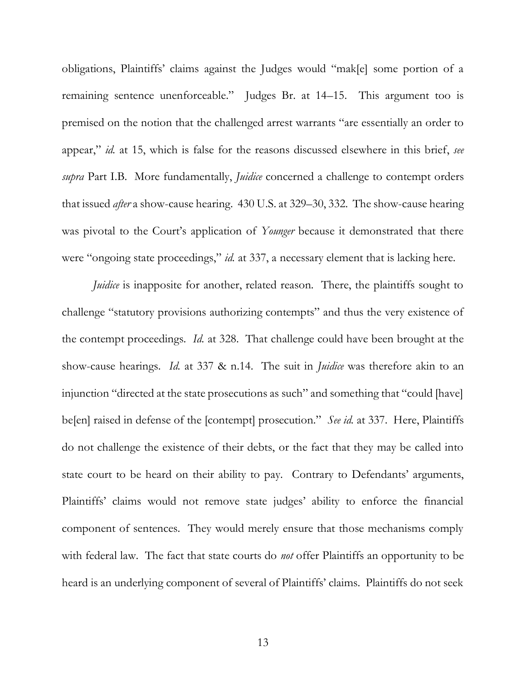obligations, Plaintiffs' claims against the Judges would "mak[e] some portion of a remaining sentence unenforceable." Judges Br. at 14–15. This argument too is premised on the notion that the challenged arrest warrants "are essentially an order to appear," *id.* at 15, which is false for the reasons discussed elsewhere in this brief, *see supra* Part I[.B.](#page-14-0) More fundamentally, *Juidice* concerned a challenge to contempt orders that issued *after* a show-cause hearing. 430 U.S. at 329–30, 332. The show-cause hearing was pivotal to the Court's application of *Younger* because it demonstrated that there were "ongoing state proceedings," *id.* at 337, a necessary element that is lacking here.

*Juidice* is inapposite for another, related reason. There, the plaintiffs sought to challenge "statutory provisions authorizing contempts" and thus the very existence of the contempt proceedings. *Id.* at 328. That challenge could have been brought at the show-cause hearings. *Id.* at 337 & n.14. The suit in *Juidice* was therefore akin to an injunction "directed at the state prosecutions as such" and something that "could [have] do not challenge the existence of their debts, or the fact that they may be called into state court to be heard on their ability to pay. Contrary to Defendants' arguments, Plaintiffs' claims would not remove state judges' ability to enforce the financial component of sentences. They would merely ensure that those mechanisms comply with federal law. The fact that state courts do *not* offer Plaintiffs an opportunity to be heard is an underlying component of several of Plaintiffs' claims. Plaintiffs do not seek be[en] raised in defense of the [contempt] prosecution." *See id.* at 337. Here, Plaintiffs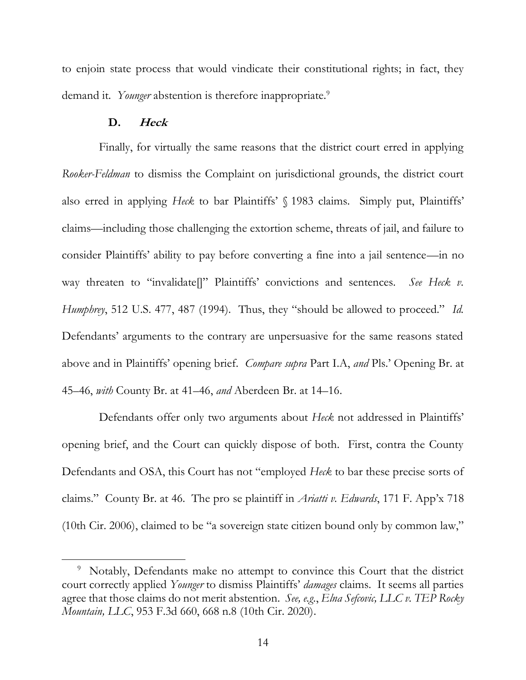<span id="page-24-1"></span> to enjoin state process that would vindicate their constitutional rights; in fact, they demand it. Younger abstention is therefore inappropriate.<sup>9</sup>

#### **D. Heck**

<span id="page-24-0"></span> Finally, for virtually the same reasons that the district court erred in applying *Rooker-Feldman* to dismiss the Complaint on jurisdictional grounds, the district court also erred in applying *Heck* to bar Plaintiffs' § 1983 claims. Simply put, Plaintiffs' consider Plaintiffs' ability to pay before converting a fine into a jail sentence—in no way threaten to "invalidate[]" Plaintiffs' convictions and sentences. *See Heck v. Humphrey*, 512 U.S. 477, 487 (1994). Thus, they "should be allowed to proceed." *Id.*  Defendants' arguments to the contrary are unpersuasive for the same reasons stated above and in Plaintiffs' opening brief. *Compare supra* Part I[.A,](#page-11-3) *and* Pls.' Opening Br. at claims—including those challenging the extortion scheme, threats of jail, and failure to 45–46, *with* County Br. at 41–46, *and* Aberdeen Br. at 14–16.

 Defendants offer only two arguments about *Heck* not addressed in Plaintiffs' opening brief, and the Court can quickly dispose of both. First, contra the County Defendants and OSA, this Court has not "employed *Heck* to bar these precise sorts of claims." County Br. at 46. The pro se plaintiff in *Ariatti v. Edwards*, 171 F. App'x 718 (10th Cir. 2006), claimed to be "a sovereign state citizen bound only by common law,"

<sup>&</sup>lt;sup>9</sup> Notably, Defendants make no attempt to convince this Court that the district agree that those claims do not merit abstention. *See, e.g.*, *Elna Sefcovic, LLC v. TEP Rocky*  court correctly applied *Younger* to dismiss Plaintiffs' *damages* claims. It seems all parties *Mountain, LLC*, 953 F.3d 660, 668 n.8 (10th Cir. 2020).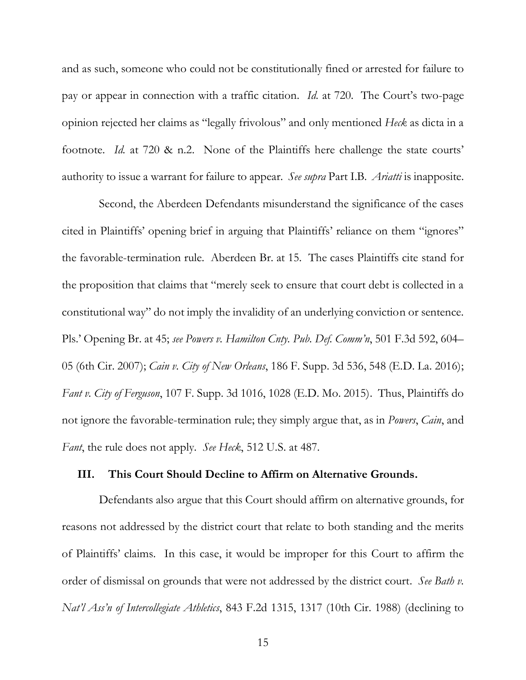<span id="page-25-1"></span> pay or appear in connection with a traffic citation. *Id.* at 720. The Court's two-page opinion rejected her claims as "legally frivolous" and only mentioned *Heck* as dicta in a footnote. *Id.* at 720 & n.2. None of the Plaintiffs here challenge the state courts' authority to issue a warrant for failure to appear. *See supra* Part I[.B.](#page-14-0) *Ariatti* is inapposite. and as such, someone who could not be constitutionally fined or arrested for failure to

 Second, the Aberdeen Defendants misunderstand the significance of the cases cited in Plaintiffs' opening brief in arguing that Plaintiffs' reliance on them "ignores" the favorable-termination rule. Aberdeen Br. at 15. The cases Plaintiffs cite stand for constitutional way" do not imply the invalidity of an underlying conviction or sentence. Pls.' Opening Br. at 45; *see Powers v. Hamilton Cnty. Pub. Def. Comm'n*, 501 F.3d 592, 604– 05 (6th Cir. 2007); *Cain v. City of New Orleans*, 186 F. Supp. 3d 536, 548 (E.D. La. 2016); *Fant v. City of Ferguson*, 107 F. Supp. 3d 1016, 1028 (E.D. Mo. 2015). Thus, Plaintiffs do not ignore the favorable-termination rule; they simply argue that, as in *Powers*, *Cain*, and *Fant*, the rule does not apply. *See Heck*, 512 U.S. at 487. the proposition that claims that "merely seek to ensure that court debt is collected in a

#### <span id="page-25-0"></span>**III. This Court Should Decline to Affirm on Alternative Grounds.**

 Defendants also argue that this Court should affirm on alternative grounds, for reasons not addressed by the district court that relate to both standing and the merits of Plaintiffs' claims. In this case, it would be improper for this Court to affirm the *Nat'l Ass'n of Intercollegiate Athletics*, 843 F.2d 1315, 1317 (10th Cir. 1988) (declining to order of dismissal on grounds that were not addressed by the district court. *See Bath v.*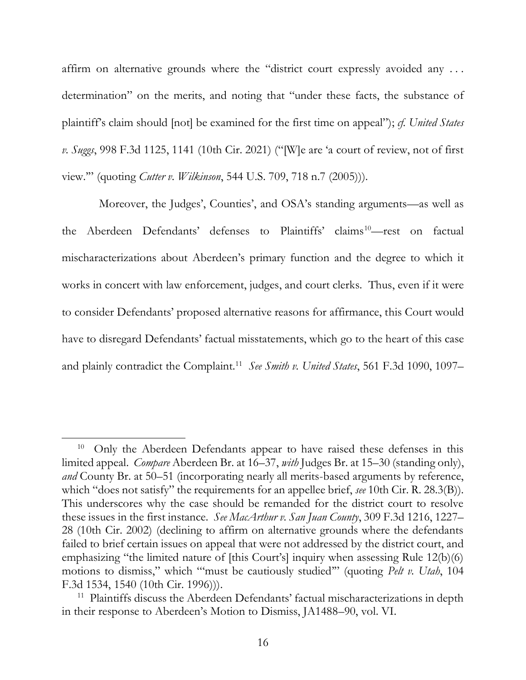<span id="page-26-0"></span> affirm on alternative grounds where the "district court expressly avoided any . . . determination" on the merits, and noting that "under these facts, the substance of view." (quoting *Cutter v. Wilkinson*, 544 U.S. 709, 718 n.7 (2005))). plaintiff's claim should [not] be examined for the first time on appeal"); *cf. United States v. Suggs*, 998 F.3d 1125, 1141 (10th Cir. 2021) ("[W]e are 'a court of review, not of first

view."" (quoting *Cutter v. Wilkinson*, 544 U.S. 709, 718 n.7 (2005))).<br>Moreover, the Judges', Counties', and OSA's standing arguments—as well as the Aberdeen Defendants' defenses to Plaintiffs' claims<sup>10</sup>—rest on factual mischaracterizations about Aberdeen's primary function and the degree to which it have to disregard Defendants' factual misstatements, which go to the heart of this case and plainly contradict the Complaint.11 *See Smith v. United States*, 561 F.3d 1090, 1097– works in concert with law enforcement, judges, and court clerks. Thus, even if it were to consider Defendants' proposed alternative reasons for affirmance, this Court would

<sup>10</sup>  limited appeal. *Compare* Aberdeen Br. at 16–37, *with* Judges Br. at 15–30 (standing only), which "does not satisfy" the requirements for an appellee brief, *see* 10th Cir. R. 28.3(B)). This underscores why the case should be remanded for the district court to resolve these issues in the first instance. *See MacArthur v. San Juan County*, 309 F.3d 1216, 1227– 28 (10th Cir. 2002) (declining to affirm on alternative grounds where the defendants failed to brief certain issues on appeal that were not addressed by the district court, and emphasizing "the limited nature of [this Court's] inquiry when assessing Rule 12(b)(6) motions to dismiss," which "'must be cautiously studied'" (quoting *Pelt v. Utah*, 104 F.3d 1534, 1540 (10th Cir. 1996))). 10 Only the Aberdeen Defendants appear to have raised these defenses in this *and* County Br. at 50–51 (incorporating nearly all merits-based arguments by reference,

<sup>&</sup>lt;sup>11</sup> Plaintiffs discuss the Aberdeen Defendants' factual mischaracterizations in depth in their response to Aberdeen's Motion to Dismiss, JA1488–90, vol. VI.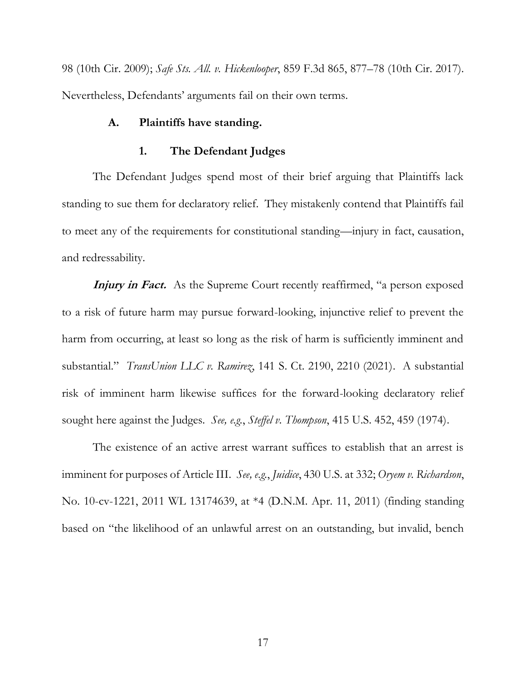<span id="page-27-2"></span> 98 (10th Cir. 2009); *Safe Sts. All. v. Hickenlooper*, 859 F.3d 865, 877–78 (10th Cir. 2017). Nevertheless, Defendants' arguments fail on their own terms.

### <span id="page-27-0"></span>**A. Plaintiffs have standing.**

## **1. The Defendant Judges**

<span id="page-27-1"></span> The Defendant Judges spend most of their brief arguing that Plaintiffs lack to meet any of the requirements for constitutional standing—injury in fact, causation, standing to sue them for declaratory relief. They mistakenly contend that Plaintiffs fail and redressability.

Injury in Fact. As the Supreme Court recently reaffirmed, "a person exposed to a risk of future harm may pursue forward-looking, injunctive relief to prevent the harm from occurring, at least so long as the risk of harm is sufficiently imminent and substantial." *TransUnion LLC v. Ramirez*, 141 S. Ct. 2190, 2210 (2021). A substantial risk of imminent harm likewise suffices for the forward-looking declaratory relief sought here against the Judges. *See, e.g.*, *Steffel v. Thompson*, 415 U.S. 452, 459 (1974).

 The existence of an active arrest warrant suffices to establish that an arrest is imminent for purposes of Article III. *See, e.g.*, *Juidice*, 430 U.S. at 332; *Oryem v. Richardson*, No. 10-cv-1221, 2011 WL 13174639, at \*4 (D.N.M. Apr. 11, 2011) (finding standing based on "the likelihood of an unlawful arrest on an outstanding, but invalid, bench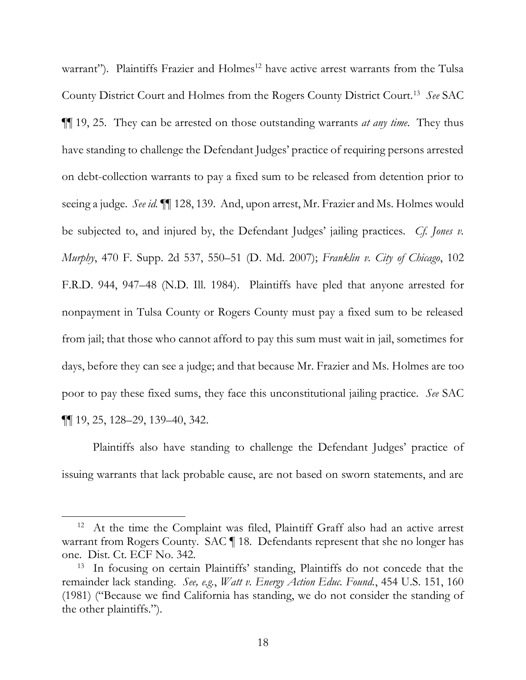<span id="page-28-0"></span>warrant"). Plaintiffs Frazier and Holmes<sup>12</sup> have active arrest warrants from the Tulsa ¶¶ 19, 25. They can be arrested on those outstanding warrants *at any time*. They thus have standing to challenge the Defendant Judges' practice of requiring persons arrested on debt-collection warrants to pay a fixed sum to be released from detention prior to seeing a judge. *See id.* ¶¶ 128, 139. And, upon arrest, Mr. Frazier and Ms. Holmes would be subjected to, and injured by, the Defendant Judges' jailing practices. *Cf. Jones v. Murphy*, 470 F. Supp. 2d 537, 550–51 (D. Md. 2007); *Franklin v. City of Chicago*, 102 F.R.D. 944, 947–48 (N.D. Ill. 1984). Plaintiffs have pled that anyone arrested for nonpayment in Tulsa County or Rogers County must pay a fixed sum to be released from jail; that those who cannot afford to pay this sum must wait in jail, sometimes for days, before they can see a judge; and that because Mr. Frazier and Ms. Holmes are too poor to pay these fixed sums, they face this unconstitutional jailing practice. *See* SAC County District Court and Holmes from the Rogers County District Court.13 *See* SAC ¶¶ 19, 25, 128–29, 139–40, 342.

 Plaintiffs also have standing to challenge the Defendant Judges' practice of issuing warrants that lack probable cause, are not based on sworn statements, and are

<sup>&</sup>lt;sup>12</sup> At the time the Complaint was filed, Plaintiff Graff also had an active arrest warrant from Rogers County. SAC ¶ 18. Defendants represent that she no longer has one. Dist. Ct. ECF No. 342.

<sup>&</sup>lt;sup>13</sup> In focusing on certain Plaintiffs' standing, Plaintiffs do not concede that the remainder lack standing. *See, e.g.*, *Watt v. Energy Action Educ. Found.*, 454 U.S. 151, 160 (1981) ("Because we find California has standing, we do not consider the standing of the other plaintiffs.").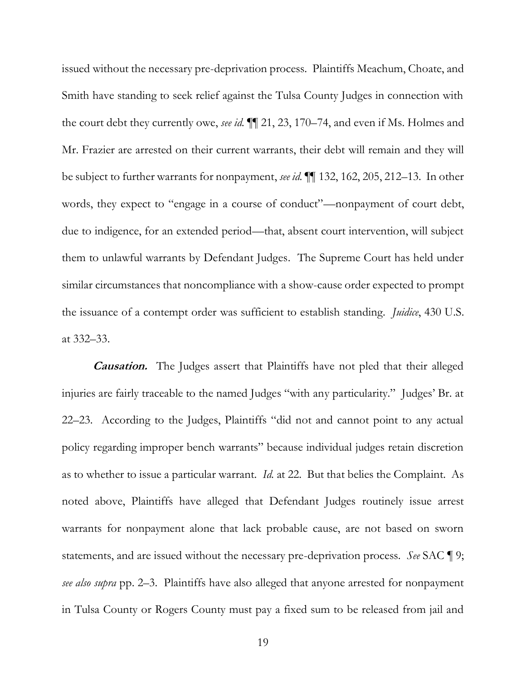<span id="page-29-0"></span> issued without the necessary pre-deprivation process. Plaintiffs Meachum, Choate, and Smith have standing to seek relief against the Tulsa County Judges in connection with the court debt they currently owe, *see id.* ¶¶ 21, 23, 170–74, and even if Ms. Holmes and Mr. Frazier are arrested on their current warrants, their debt will remain and they will be subject to further warrants for nonpayment, *see id.* ¶¶ 132, 162, 205, 212–13. In other words, they expect to "engage in a course of conduct"—nonpayment of court debt, due to indigence, for an extended period—that, absent court intervention, will subject them to unlawful warrants by Defendant Judges. The Supreme Court has held under similar circumstances that noncompliance with a show-cause order expected to prompt the issuance of a contempt order was sufficient to establish standing. *Juidice*, 430 U.S. at 332–33.

 **Causation.** The Judges assert that Plaintiffs have not pled that their alleged 22–23. According to the Judges, Plaintiffs "did not and cannot point to any actual policy regarding improper bench warrants" because individual judges retain discretion as to whether to issue a particular warrant. *Id.* at 22. But that belies the Complaint. As noted above, Plaintiffs have alleged that Defendant Judges routinely issue arrest warrants for nonpayment alone that lack probable cause, are not based on sworn statements, and are issued without the necessary pre-deprivation process. *See* SAC ¶ 9; *see also supra* pp. 2–3. Plaintiffs have also alleged that anyone arrested for nonpayment in Tulsa County or Rogers County must pay a fixed sum to be released from jail and injuries are fairly traceable to the named Judges "with any particularity." Judges' Br. at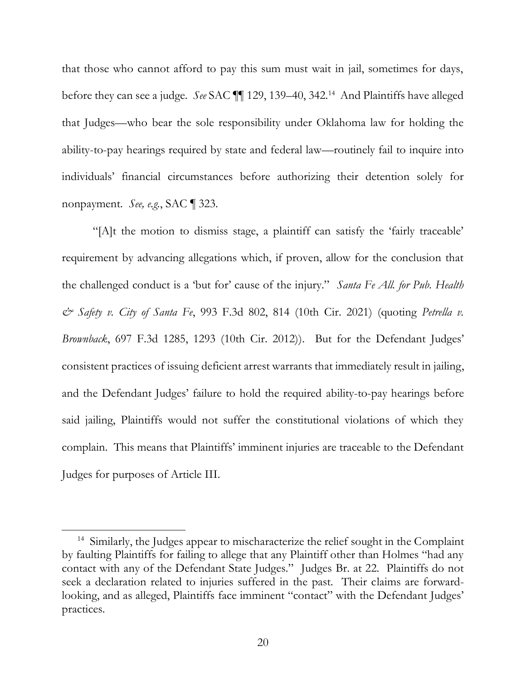<span id="page-30-0"></span> that those who cannot afford to pay this sum must wait in jail, sometimes for days, before they can see a judge. *See* SAC ¶¶ 129, 139–40, 342.14 And Plaintiffs have alleged that Judges—who bear the sole responsibility under Oklahoma law for holding the ability-to-pay hearings required by state and federal law—routinely fail to inquire into individuals' financial circumstances before authorizing their detention solely for nonpayment. *See, e.g.*, SAC ¶ 323.

 "[A]t the motion to dismiss stage, a plaintiff can satisfy the 'fairly traceable' requirement by advancing allegations which, if proven, allow for the conclusion that the challenged conduct is a 'but for' cause of the injury." *Santa Fe All. for Pub. Health & Safety v. City of Santa Fe*, 993 F.3d 802, 814 (10th Cir. 2021) (quoting *Petrella v. Brownback*, 697 F.3d 1285, 1293 (10th Cir. 2012)). But for the Defendant Judges' consistent practices of issuing deficient arrest warrants that immediately result in jailing, and the Defendant Judges' failure to hold the required ability-to-pay hearings before said jailing, Plaintiffs would not suffer the constitutional violations of which they Judges for purposes of Article III. complain. This means that Plaintiffs' imminent injuries are traceable to the Defendant

 Judges for purposes of Article III. 14 Similarly, the Judges appear to mischaracterize the relief sought in the Complaint by faulting Plaintiffs for failing to allege that any Plaintiff other than Holmes "had any contact with any of the Defendant State Judges." Judges Br. at 22. Plaintiffs do not seek a declaration related to injuries suffered in the past. Their claims are forward- looking, and as alleged, Plaintiffs face imminent "contact" with the Defendant Judges' practices.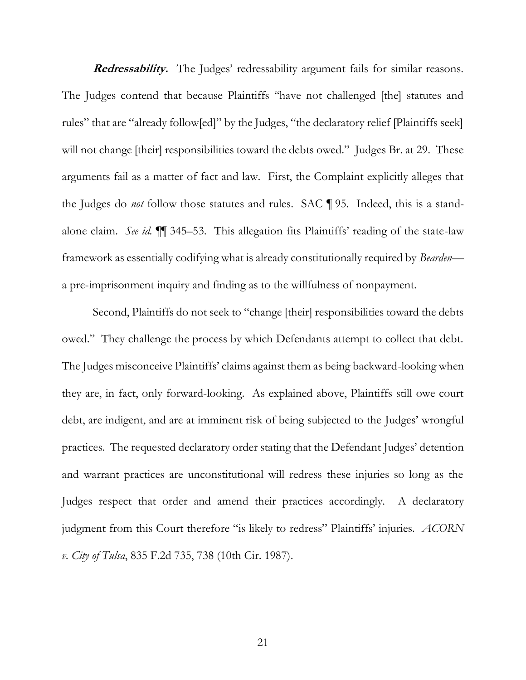<span id="page-31-0"></span> **Redressability.** The Judges' redressability argument fails for similar reasons. The Judges contend that because Plaintiffs "have not challenged [the] statutes and rules" that are "already follow[ed]" by the Judges, "the declaratory relief [Plaintiffs seek] will not change [their] responsibilities toward the debts owed." Judges Br. at 29. These arguments fail as a matter of fact and law. First, the Complaint explicitly alleges that the Judges do *not* follow those statutes and rules. SAC ¶ 95. Indeed, this is a stand- alone claim. *See id.* ¶¶ 345–53. This allegation fits Plaintiffs' reading of the state-law framework as essentially codifying what is already constitutionally required by *Bearden*— a pre-imprisonment inquiry and finding as to the willfulness of nonpayment.

 Second, Plaintiffs do not seek to "change [their] responsibilities toward the debts owed." They challenge the process by which Defendants attempt to collect that debt. The Judges misconceive Plaintiffs' claims against them as being backward-looking when they are, in fact, only forward-looking. As explained above, Plaintiffs still owe court debt, are indigent, and are at imminent risk of being subjected to the Judges' wrongful practices. The requested declaratory order stating that the Defendant Judges' detention and warrant practices are unconstitutional will redress these injuries so long as the Judges respect that order and amend their practices accordingly. A declaratory judgment from this Court therefore "is likely to redress" Plaintiffs' injuries. *ACORN v. City of Tulsa*, 835 F.2d 735, 738 (10th Cir. 1987).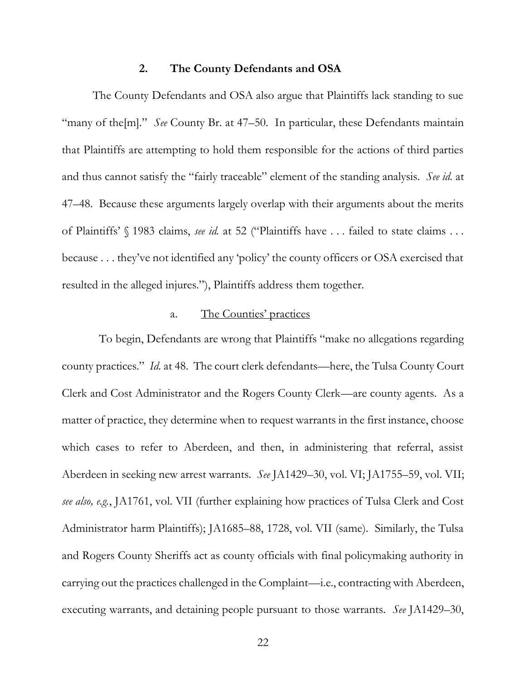#### **2. The County Defendants and OSA**

<span id="page-32-0"></span> The County Defendants and OSA also argue that Plaintiffs lack standing to sue "many of the[m]." *See* County Br. at 47–50. In particular, these Defendants maintain that Plaintiffs are attempting to hold them responsible for the actions of third parties and thus cannot satisfy the "fairly traceable" element of the standing analysis. *See id.* at 47–48. Because these arguments largely overlap with their arguments about the merits of Plaintiffs' § 1983 claims, *see id.* at 52 ("Plaintiffs have . . . failed to state claims . . . because . . . they've not identified any 'policy' the county officers or OSA exercised that resulted in the alleged injures."), Plaintiffs address them together.

#### a. The Counties' practices

<span id="page-32-1"></span> county practices." *Id.* at 48. The court clerk defendants—here, the Tulsa County Court Clerk and Cost Administrator and the Rogers County Clerk—are county agents. As a matter of practice, they determine when to request warrants in the first instance, choose which cases to refer to Aberdeen, and then, in administering that referral, assist Aberdeen in seeking new arrest warrants. *See* JA1429–30, vol. VI; JA1755–59, vol. VII;  *see also, e.g.*, JA1761, vol. VII (further explaining how practices of Tulsa Clerk and Cost Administrator harm Plaintiffs); JA1685–88, 1728, vol. VII (same). Similarly, the Tulsa and Rogers County Sheriffs act as county officials with final policymaking authority in carrying out the practices challenged in the Complaint—i.e., contracting with Aberdeen, executing warrants, and detaining people pursuant to those warrants. *See* JA1429–30, To begin, Defendants are wrong that Plaintiffs "make no allegations regarding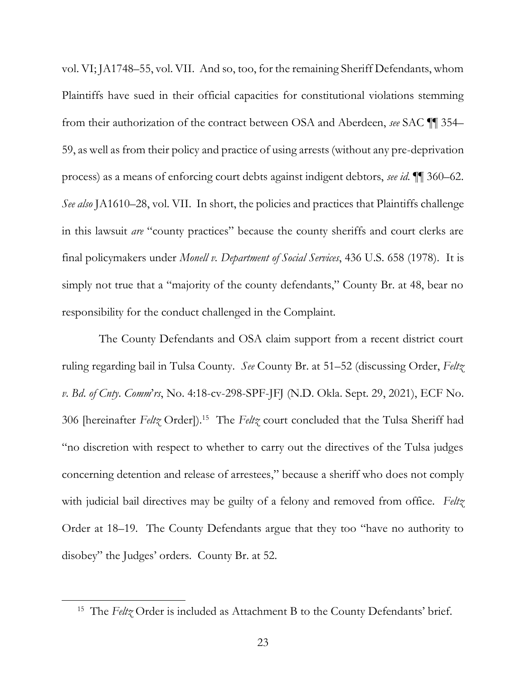<span id="page-33-0"></span> vol. VI; JA1748–55, vol. VII. And so, too, for the remaining Sheriff Defendants, whom Plaintiffs have sued in their official capacities for constitutional violations stemming 59, as well as from their policy and practice of using arrests (without any pre-deprivation process) as a means of enforcing court debts against indigent debtors, *see id.* ¶¶ 360–62. *See also* JA1610–28, vol. VII. In short, the policies and practices that Plaintiffs challenge in this lawsuit *are* "county practices" because the county sheriffs and court clerks are final policymakers under *Monell v. Department of Social Services*, 436 U.S. 658 (1978). It is simply not true that a "majority of the county defendants," County Br. at 48, bear no from their authorization of the contract between OSA and Aberdeen, *see* SAC ¶¶ 354– responsibility for the conduct challenged in the Complaint.

 The County Defendants and OSA claim support from a recent district court ruling regarding bail in Tulsa County. *See* County Br. at 51–52 (discussing Order, *Feltz*  306 [hereinafter *Feltz* Order]).15 The *Feltz* court concluded that the Tulsa Sheriff had "no discretion with respect to whether to carry out the directives of the Tulsa judges with judicial bail directives may be guilty of a felony and removed from office. *Feltz*  Order at 18–19. The County Defendants argue that they too "have no authority to disobey" the Judges' orders. County Br. at 52. *v*. *Bd*. *of Cnty*. *Comm*'*rs*, No. 4:18-cv-298-SPF-JFJ (N.D. Okla. Sept. 29, 2021), ECF No. concerning detention and release of arrestees," because a sheriff who does not comply

<sup>&</sup>lt;sup>15</sup> The *Feltz* Order is included as Attachment B to the County Defendants' brief.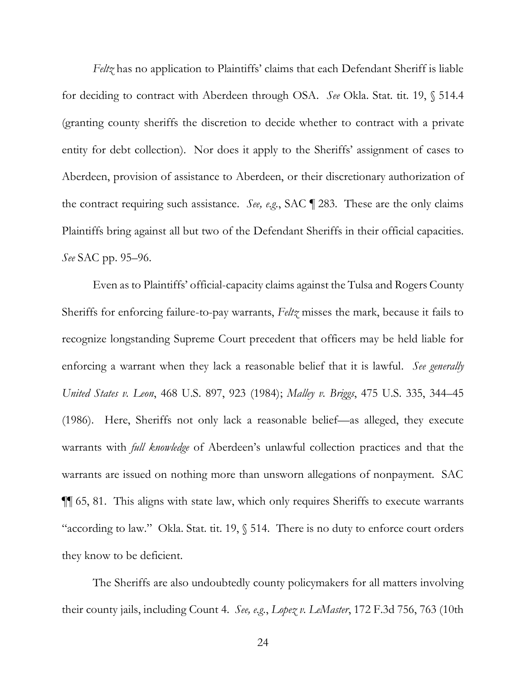<span id="page-34-0"></span> for deciding to contract with Aberdeen through OSA. *See* Okla. Stat. tit. 19, § 514.4 (granting county sheriffs the discretion to decide whether to contract with a private entity for debt collection). Nor does it apply to the Sheriffs' assignment of cases to Aberdeen, provision of assistance to Aberdeen, or their discretionary authorization of the contract requiring such assistance. *See, e.g.*, SAC ¶ 283. These are the only claims Plaintiffs bring against all but two of the Defendant Sheriffs in their official capacities. *See* SAC pp. 95–96. *Feltz* has no application to Plaintiffs' claims that each Defendant Sheriff is liable

 Even as to Plaintiffs' official-capacity claims against the Tulsa and Rogers County Sheriffs for enforcing failure-to-pay warrants, *Feltz* misses the mark, because it fails to recognize longstanding Supreme Court precedent that officers may be held liable for enforcing a warrant when they lack a reasonable belief that it is lawful. *See generally United States v. Leon*, 468 U.S. 897, 923 (1984); *Malley v. Briggs*, 475 U.S. 335, 344–45 (1986). Here, Sheriffs not only lack a reasonable belief—as alleged, they execute warrants with *full knowledge* of Aberdeen's unlawful collection practices and that the warrants are issued on nothing more than unsworn allegations of nonpayment. SAC ¶¶ 65, 81. This aligns with state law, which only requires Sheriffs to execute warrants "according to law." Okla. Stat. tit. 19, § 514. There is no duty to enforce court orders they know to be deficient. they know to be deficient.<br>The Sheriffs are also undoubtedly county policymakers for all matters involving

their county jails, including Count 4. *See, e.g.*, *Lopez v. LeMaster*, 172 F.3d 756, 763 (10th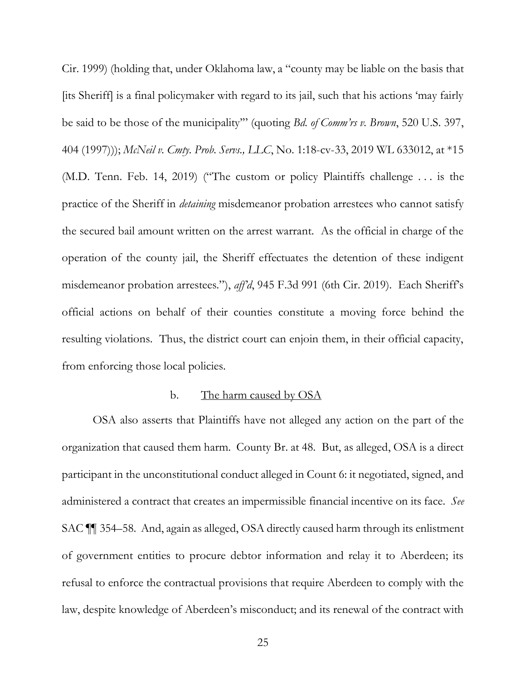<span id="page-35-1"></span> Cir. 1999) (holding that, under Oklahoma law, a "county may be liable on the basis that  404 (1997))); *McNeil v. Cmty. Prob. Servs., LLC*, No. 1:18-cv-33, 2019 WL 633012, at \*15 (M.D. Tenn. Feb. 14, 2019) ("The custom or policy Plaintiffs challenge . . . is the practice of the Sheriff in *detaining* misdemeanor probation arrestees who cannot satisfy the secured bail amount written on the arrest warrant. As the official in charge of the operation of the county jail, the Sheriff effectuates the detention of these indigent misdemeanor probation arrestees."), *aff'd*, 945 F.3d 991 (6th Cir. 2019). Each Sheriff's official actions on behalf of their counties constitute a moving force behind the resulting violations. Thus, the district court can enjoin them, in their official capacity, [its Sheriff] is a final policymaker with regard to its jail, such that his actions 'may fairly be said to be those of the municipality'" (quoting *Bd. of Comm'rs v. Brown*, 520 U.S. 397, from enforcing those local policies.

#### b. The harm caused by OSA

<span id="page-35-0"></span> OSA also asserts that Plaintiffs have not alleged any action on the part of the organization that caused them harm. County Br. at 48. But, as alleged, OSA is a direct participant in the unconstitutional conduct alleged in Count 6: it negotiated, signed, and administered a contract that creates an impermissible financial incentive on its face. *See*  SAC ¶¶ 354–58. And, again as alleged, OSA directly caused harm through its enlistment of government entities to procure debtor information and relay it to Aberdeen; its refusal to enforce the contractual provisions that require Aberdeen to comply with the law, despite knowledge of Aberdeen's misconduct; and its renewal of the contract with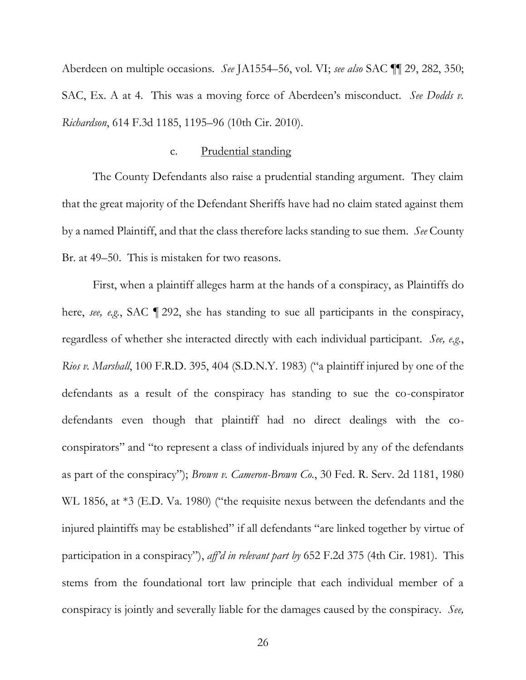<span id="page-36-1"></span> Aberdeen on multiple occasions. *See* JA1554–56, vol. VI; *see also* SAC ¶¶ 29, 282, 350; SAC, Ex. A at 4. This was a moving force of Aberdeen's misconduct. *See Dodds v. Richardson*, 614 F.3d 1185, 1195–96 (10th Cir. 2010).

#### c. Prudential standing

<span id="page-36-0"></span> The County Defendants also raise a prudential standing argument. They claim that the great majority of the Defendant Sheriffs have had no claim stated against them by a named Plaintiff, and that the class therefore lacks standing to sue them. *See* County Br. at 49–50. This is mistaken for two reasons.

 First, when a plaintiff alleges harm at the hands of a conspiracy, as Plaintiffs do here, *see, e.g.*, SAC ¶ 292, she has standing to sue all participants in the conspiracy, regardless of whether she interacted directly with each individual participant. *See, e.g.*, *Rios v. Marshall*, 100 F.R.D. 395, 404 (S.D.N.Y. 1983) ("a plaintiff injured by one of the defendants as a result of the conspiracy has standing to sue the co-conspirator conspirators" and "to represent a class of individuals injured by any of the defendants as part of the conspiracy"); *Brown v. Cameron-Brown Co.*, 30 Fed. R. Serv. 2d 1181, 1980 WL 1856, at \*3 (E.D. Va. 1980) ("the requisite nexus between the defendants and the stems from the foundational tort law principle that each individual member of a conspiracy is jointly and severally liable for the damages caused by the conspiracy. *See,*  defendants even though that plaintiff had no direct dealings with the coinjured plaintiffs may be established" if all defendants "are linked together by virtue of participation in a conspiracy"), *aff'd in relevant part by* 652 F.2d 375 (4th Cir. 1981). This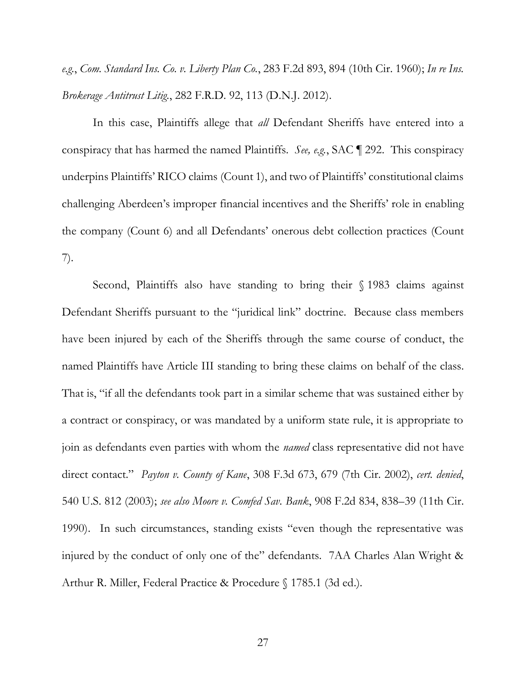<span id="page-37-0"></span> *e.g.*, *Com. Standard Ins. Co. v. Liberty Plan Co.*, 283 F.2d 893, 894 (10th Cir. 1960); *In re Ins. Brokerage Antitrust Litig.*, 282 F.R.D. 92, 113 (D.N.J. 2012).

 In this case, Plaintiffs allege that *all* Defendant Sheriffs have entered into a conspiracy that has harmed the named Plaintiffs. *See, e.g.*, SAC ¶ 292. This conspiracy underpins Plaintiffs' RICO claims (Count 1), and two of Plaintiffs' constitutional claims challenging Aberdeen's improper financial incentives and the Sheriffs' role in enabling the company (Count 6) and all Defendants' onerous debt collection practices (Count  $7).$ 7). Second, Plaintiffs also have standing to bring their § 1983 claims against

 Defendant Sheriffs pursuant to the "juridical link" doctrine. Because class members have been injured by each of the Sheriffs through the same course of conduct, the named Plaintiffs have Article III standing to bring these claims on behalf of the class. a contract or conspiracy, or was mandated by a uniform state rule, it is appropriate to join as defendants even parties with whom the *named* class representative did not have direct contact." *Payton v. County of Kane*, 308 F.3d 673, 679 (7th Cir. 2002), *cert. denied*, 540 U.S. 812 (2003); *see also Moore v. Comfed Sav. Bank*, 908 F.2d 834, 838–39 (11th Cir. 1990). In such circumstances, standing exists "even though the representative was injured by the conduct of only one of the" defendants. 7AA Charles Alan Wright & That is, "if all the defendants took part in a similar scheme that was sustained either by Arthur R. Miller, Federal Practice & Procedure § 1785.1 (3d ed.).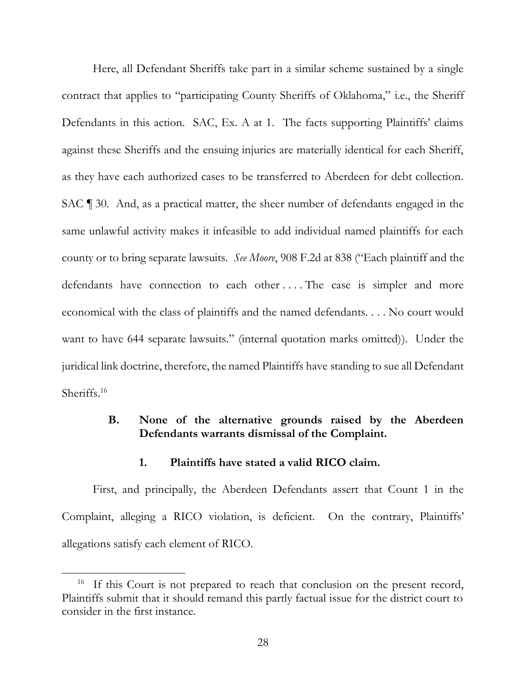<span id="page-38-2"></span> Here, all Defendant Sheriffs take part in a similar scheme sustained by a single contract that applies to "participating County Sheriffs of Oklahoma," i.e., the Sheriff Defendants in this action. SAC, Ex. A at 1. The facts supporting Plaintiffs' claims against these Sheriffs and the ensuing injuries are materially identical for each Sheriff, as they have each authorized cases to be transferred to Aberdeen for debt collection. SAC ¶ 30. And, as a practical matter, the sheer number of defendants engaged in the same unlawful activity makes it infeasible to add individual named plaintiffs for each county or to bring separate lawsuits. *See Moore*, 908 F.2d at 838 ("Each plaintiff and the defendants have connection to each other .... The case is simpler and more economical with the class of plaintiffs and the named defendants. . . . No court would want to have 644 separate lawsuits." (internal quotation marks omitted)). Under the juridical link doctrine, therefore, the named Plaintiffs have standing to sue all Defendant Sheriffs. 16

# <span id="page-38-0"></span> **B. None of the alternative grounds raised by the Aberdeen Defendants warrants dismissal of the Complaint.**

## **1. Plaintiffs have stated a valid RICO claim.**

<span id="page-38-1"></span> First, and principally, the Aberdeen Defendants assert that Count 1 in the Complaint, alleging a RICO violation, is deficient. On the contrary, Plaintiffs' allegations satisfy each element of RICO.

<sup>&</sup>lt;sup>16</sup> If this Court is not prepared to reach that conclusion on the present record, Plaintiffs submit that it should remand this partly factual issue for the district court to consider in the first instance.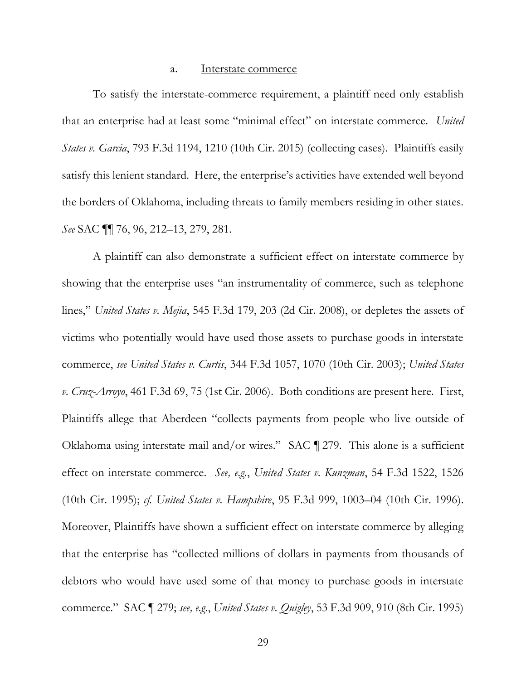#### a. Interstate commerce

<span id="page-39-1"></span><span id="page-39-0"></span> To satisfy the interstate-commerce requirement, a plaintiff need only establish that an enterprise had at least some "minimal effect" on interstate commerce. *United States v. Garcia*, 793 F.3d 1194, 1210 (10th Cir. 2015) (collecting cases). Plaintiffs easily satisfy this lenient standard. Here, the enterprise's activities have extended well beyond the borders of Oklahoma, including threats to family members residing in other states. *See* SAC ¶¶ 76, 96, 212–13, 279, 281.

 A plaintiff can also demonstrate a sufficient effect on interstate commerce by showing that the enterprise uses "an instrumentality of commerce, such as telephone  lines," *United States v. Mejia*, 545 F.3d 179, 203 (2d Cir. 2008), or depletes the assets of victims who potentially would have used those assets to purchase goods in interstate  commerce, *see United States v. Curtis*, 344 F.3d 1057, 1070 (10th Cir. 2003); *United States v. Cruz-Arroyo*, 461 F.3d 69, 75 (1st Cir. 2006). Both conditions are present here. First, Plaintiffs allege that Aberdeen "collects payments from people who live outside of Oklahoma using interstate mail and/or wires." SAC ¶ 279. This alone is a sufficient effect on interstate commerce. *See, e.g.*, *United States v. Kunzman*, 54 F.3d 1522, 1526 (10th Cir. 1995); *cf. United States v. Hampshire*, 95 F.3d 999, 1003–04 (10th Cir. 1996). Moreover, Plaintiffs have shown a sufficient effect on interstate commerce by alleging that the enterprise has "collected millions of dollars in payments from thousands of debtors who would have used some of that money to purchase goods in interstate  commerce." SAC ¶ 279; *see, e.g.*, *United States v. Quigley*, 53 F.3d 909, 910 (8th Cir. 1995)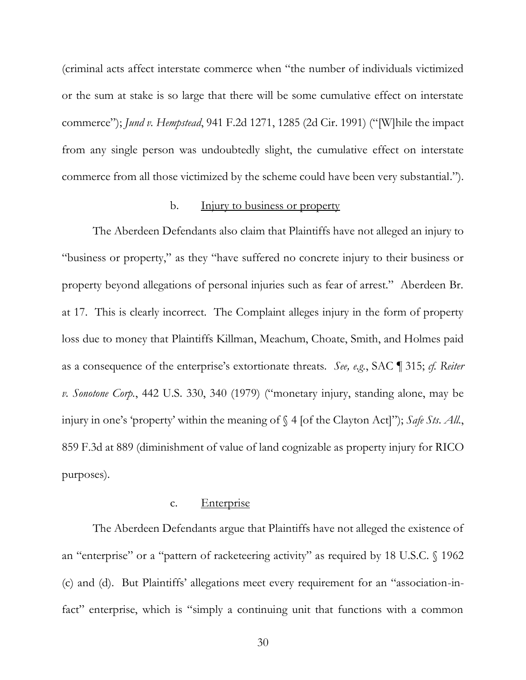<span id="page-40-2"></span> (criminal acts affect interstate commerce when "the number of individuals victimized or the sum at stake is so large that there will be some cumulative effect on interstate  commerce"); *Jund v. Hempstead*, 941 F.2d 1271, 1285 (2d Cir. 1991) ("[W]hile the impact from any single person was undoubtedly slight, the cumulative effect on interstate commerce from all those victimized by the scheme could have been very substantial.").

### b. Injury to business or property

<span id="page-40-0"></span> The Aberdeen Defendants also claim that Plaintiffs have not alleged an injury to "business or property," as they "have suffered no concrete injury to their business or property beyond allegations of personal injuries such as fear of arrest." Aberdeen Br. at 17. This is clearly incorrect. The Complaint alleges injury in the form of property loss due to money that Plaintiffs Killman, Meachum, Choate, Smith, and Holmes paid as a consequence of the enterprise's extortionate threats. *See, e.g.*, SAC ¶ 315; *cf. Reiter v. Sonotone Corp.*, 442 U.S. 330, 340 (1979) ("monetary injury, standing alone, may be injury in one's 'property' within the meaning of § 4 [of the Clayton Act]"); *Safe Sts. All.*, 859 F.3d at 889 (diminishment of value of land cognizable as property injury for RICO purposes).

#### c. Enterprise

<span id="page-40-1"></span> The Aberdeen Defendants argue that Plaintiffs have not alleged the existence of an "enterprise" or a "pattern of racketeering activity" as required by 18 U.S.C. § 1962 (c) and (d). But Plaintiffs' allegations meet every requirement for an "association-infact" enterprise, which is "simply a continuing unit that functions with a common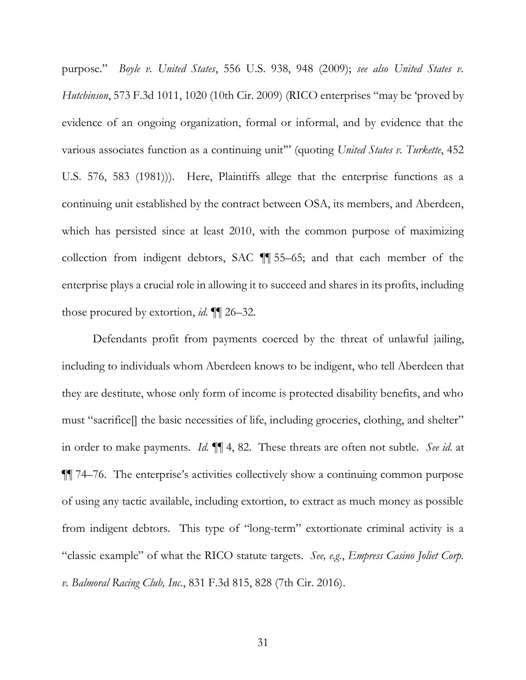<span id="page-41-0"></span> purpose." *Boyle v. United States*, 556 U.S. 938, 948 (2009); *see also United States v. Hutchinson*, 573 F.3d 1011, 1020 (10th Cir. 2009) (RICO enterprises "may be 'proved by evidence of an ongoing organization, formal or informal, and by evidence that the various associates function as a continuing unit'" (quoting *United States v. Turkette*, 452 U.S. 576, 583 (1981))). Here, Plaintiffs allege that the enterprise functions as a which has persisted since at least 2010, with the common purpose of maximizing collection from indigent debtors, SAC ¶¶ 55–65; and that each member of the enterprise plays a crucial role in allowing it to succeed and shares in its profits, including those procured by extortion, id. ¶ 26-32. those procured by extortion, *id.*  $\P$  26–32.<br>Defendants profit from payments coerced by the threat of unlawful jailing, continuing unit established by the contract between OSA, its members, and Aberdeen,

 must "sacrifice[] the basic necessities of life, including groceries, clothing, and shelter" in order to make payments. *Id.* ¶¶ 4, 82. These threats are often not subtle. *See id.* at ¶¶ 74–76. The enterprise's activities collectively show a continuing common purpose of using any tactic available, including extortion, to extract as much money as possible from indigent debtors. This type of "long-term" extortionate criminal activity is a "classic example" of what the RICO statute targets. *See, e.g.*, *Empress Casino Joliet Corp.*  including to individuals whom Aberdeen knows to be indigent, who tell Aberdeen that they are destitute, whose only form of income is protected disability benefits, and who *v. Balmoral Racing Club, Inc.*, 831 F.3d 815, 828 (7th Cir. 2016).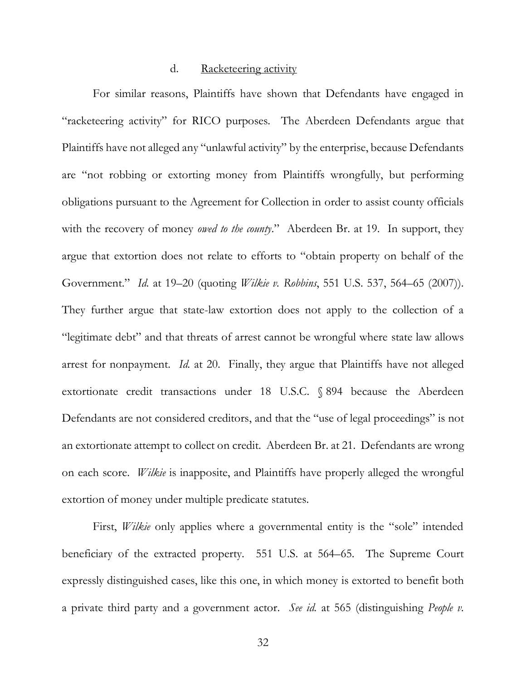#### d. Racketeering activity

<span id="page-42-1"></span><span id="page-42-0"></span> For similar reasons, Plaintiffs have shown that Defendants have engaged in "racketeering activity" for RICO purposes. The Aberdeen Defendants argue that Plaintiffs have not alleged any "unlawful activity" by the enterprise, because Defendants are "not robbing or extorting money from Plaintiffs wrongfully, but performing with the recovery of money *owed to the county*." Aberdeen Br. at 19. In support, they argue that extortion does not relate to efforts to "obtain property on behalf of the  Government." *Id.* at 19–20 (quoting *Wilkie v. Robbins*, 551 U.S. 537, 564–65 (2007)). They further argue that state-law extortion does not apply to the collection of a "legitimate debt" and that threats of arrest cannot be wrongful where state law allows arrest for nonpayment. *Id.* at 20. Finally, they argue that Plaintiffs have not alleged extortionate credit transactions under 18 U.S.C. § 894 because the Aberdeen an extortionate attempt to collect on credit. Aberdeen Br. at 21. Defendants are wrong on each score. *Wilkie* is inapposite, and Plaintiffs have properly alleged the wrongful extortion of money under multiple predicate statutes. extortion of money under multiple predicate statutes. First, *Wilkie* only applies where <sup>a</sup> governmental entity is the "sole" intended obligations pursuant to the Agreement for Collection in order to assist county officials Defendants are not considered creditors, and that the "use of legal proceedings" is not

 beneficiary of the extracted property. 551 U.S. at 564–65. The Supreme Court expressly distinguished cases, like this one, in which money is extorted to benefit both a private third party and a government actor. *See id.* at 565 (distinguishing *People v.*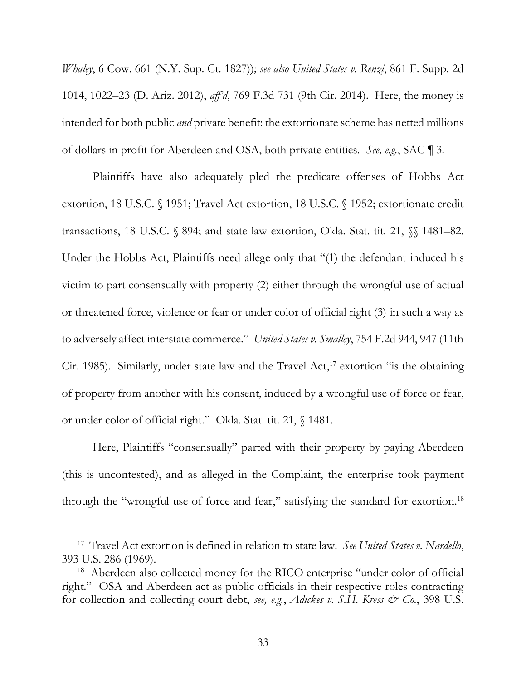<span id="page-43-0"></span> *Whaley*, 6 Cow. 661 (N.Y. Sup. Ct. 1827)); *see also United States v. Renzi*, 861 F. Supp. 2d 1014, 1022–23 (D. Ariz. 2012), *aff'd*, 769 F.3d 731 (9th Cir. 2014). Here, the money is intended for both public *and* private benefit: the extortionate scheme has netted millions of dollars in profit for Aberdeen and OSA, both private entities. *See, e.g.*, SAC ¶ 3.

 Plaintiffs have also adequately pled the predicate offenses of Hobbs Act extortion, 18 U.S.C. § 1951; Travel Act extortion, 18 U.S.C. § 1952; extortionate credit transactions, 18 U.S.C. § 894; and state law extortion, Okla. Stat. tit. 21, §§ 1481–82. Under the Hobbs Act, Plaintiffs need allege only that "(1) the defendant induced his victim to part consensually with property (2) either through the wrongful use of actual or threatened force, violence or fear or under color of official right (3) in such a way as to adversely affect interstate commerce." *United States v. Smalley*, 754 F.2d 944, 947 (11th Cir. 1985). Similarly, under state law and the Travel Act,<sup>17</sup> extortion "is the obtaining or under color of official right." Okla. Stat. tit. 21, § 1481. or under color of official right." Okla. Stat. tit. 21, § 1481.<br>Here, Plaintiffs "consensually" parted with their property by paying Aberdeen of property from another with his consent, induced by a wrongful use of force or fear,

 (this is uncontested), and as alleged in the Complaint, the enterprise took payment through the "wrongful use of force and fear," satisfying the standard for extortion.<sup>18</sup>

 17 Travel Act extortion is defined in relation to state law. *See United States v. Nardello*, 393 U.S. 286 (1969). 18 Aberdeen also collected money for the RICO enterprise "under color of official

 right." OSA and Aberdeen act as public officials in their respective roles contracting for collection and collecting court debt, *see, e.g.*, *Adickes v. S.H. Kress & Co.*, 398 U.S.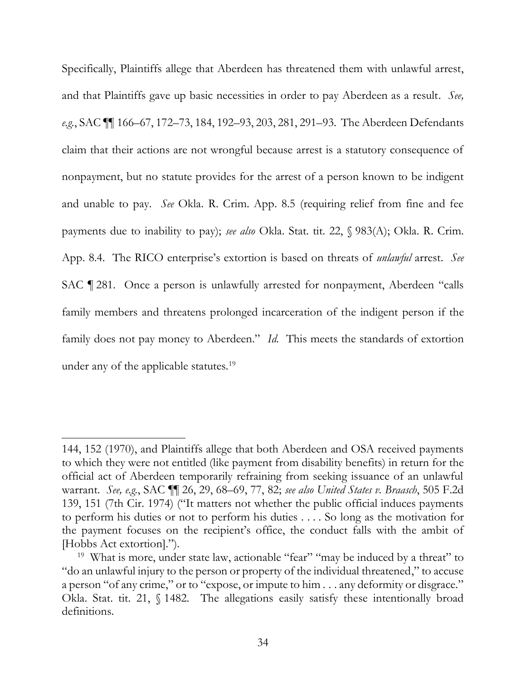<span id="page-44-0"></span> Specifically, Plaintiffs allege that Aberdeen has threatened them with unlawful arrest, and that Plaintiffs gave up basic necessities in order to pay Aberdeen as a result. *See, e.g.*, SAC ¶¶ 166–67, 172–73, 184, 192–93, 203, 281, 291–93. The Aberdeen Defendants claim that their actions are not wrongful because arrest is a statutory consequence of nonpayment, but no statute provides for the arrest of a person known to be indigent and unable to pay. *See* Okla. R. Crim. App. 8.5 (requiring relief from fine and fee payments due to inability to pay); *see also* Okla. Stat. tit. 22, § 983(A); Okla. R. Crim. App. 8.4. The RICO enterprise's extortion is based on threats of *unlawful* arrest. *See*  SAC ¶ 281. Once a person is unlawfully arrested for nonpayment, Aberdeen "calls family members and threatens prolonged incarceration of the indigent person if the family does not pay money to Aberdeen." *Id.* This meets the standards of extortion under any of the applicable statutes.<sup>19</sup>

 144, 152 (1970), and Plaintiffs allege that both Aberdeen and OSA received payments official act of Aberdeen temporarily refraining from seeking issuance of an unlawful warrant. *See, e.g.*, SAC ¶¶ 26, 29, 68–69, 77, 82; *see also United States v. Braasch*, 505 F.2d 139, 151 (7th Cir. 1974) ("It matters not whether the public official induces payments to perform his duties or not to perform his duties . . . . So long as the motivation for the payment focuses on the recipient's office, the conduct falls with the ambit of to which they were not entitled (like payment from disability benefits) in return for the [Hobbs Act extortion].").

<sup>&</sup>lt;sup>19</sup> What is more, under state law, actionable "fear" "may be induced by a threat" to "do an unlawful injury to the person or property of the individual threatened," to accuse a person "of any crime," or to "expose, or impute to him . . . any deformity or disgrace." Okla. Stat. tit. 21, § 1482. The allegations easily satisfy these intentionally broad definitions.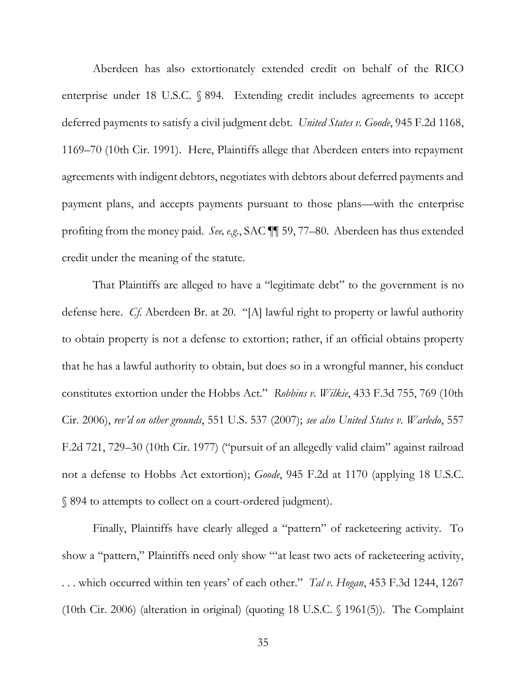<span id="page-45-0"></span> Aberdeen has also extortionately extended credit on behalf of the RICO enterprise under 18 U.S.C. § 894. Extending credit includes agreements to accept deferred payments to satisfy a civil judgment debt. *United States v. Goode*, 945 F.2d 1168, 1169–70 (10th Cir. 1991). Here, Plaintiffs allege that Aberdeen enters into repayment agreements with indigent debtors, negotiates with debtors about deferred payments and payment plans, and accepts payments pursuant to those plans—with the enterprise profiting from the money paid. *See, e.g.*, SAC ¶¶ 59, 77–80. Aberdeen has thus extended credit under the meaning of the statute.

 That Plaintiffs are alleged to have a "legitimate debt" to the government is no defense here. *Cf.* Aberdeen Br. at 20. "[A] lawful right to property or lawful authority to obtain property is not a defense to extortion; rather, if an official obtains property Cir. 2006), *rev'd on other grounds*, 551 U.S. 537 (2007); *see also United States v. Warledo*, 557 not a defense to Hobbs Act extortion); *Goode*, 945 F.2d at 1170 (applying 18 U.S.C. that he has a lawful authority to obtain, but does so in a wrongful manner, his conduct constitutes extortion under the Hobbs Act." *Robbins v. Wilkie*, 433 F.3d 755, 769 (10th F.2d 721, 729–30 (10th Cir. 1977) ("pursuit of an allegedly valid claim" against railroad § 894 to attempts to collect on a court-ordered judgment).

 Finally, Plaintiffs have clearly alleged a "pattern" of racketeering activity. To show a "pattern," Plaintiffs need only show "'at least two acts of racketeering activity, (10th Cir. 2006) (alteration in original) (quoting 18 U.S.C. § 1961(5)). The Complaint . . . which occurred within ten years' of each other." *Tal v. Hogan*, 453 F.3d 1244, 1267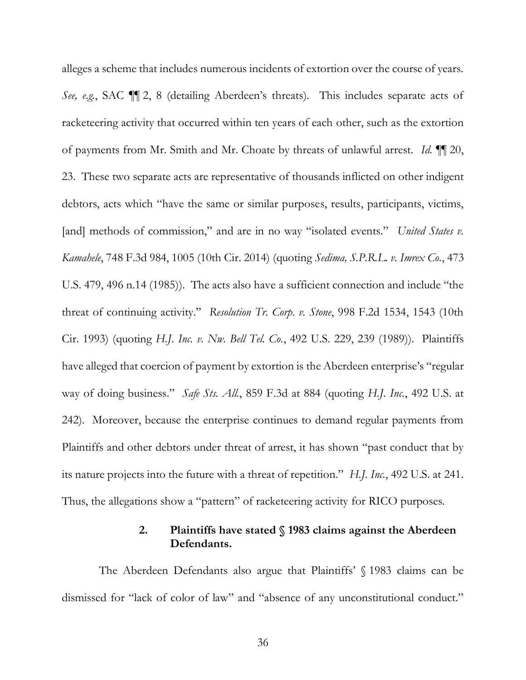<span id="page-46-1"></span> alleges a scheme that includes numerous incidents of extortion over the course of years. *See, e.g.*, SAC ¶¶ 2, 8 (detailing Aberdeen's threats). This includes separate acts of of payments from Mr. Smith and Mr. Choate by threats of unlawful arrest. *Id.* ¶¶ 20, debtors, acts which "have the same or similar purposes, results, participants, victims, [and] methods of commission," and are in no way "isolated events." *United States v. Kamahele*, 748 F.3d 984, 1005 (10th Cir. 2014) (quoting *Sedima, S.P.R.L. v. Imrex Co.*, 473 U.S. 479, 496 n.14 (1985)). The acts also have a sufficient connection and include "the  threat of continuing activity." *Resolution Tr. Corp. v. Stone*, 998 F.2d 1534, 1543 (10th  Cir. 1993) (quoting *H.J. Inc. v. Nw. Bell Tel. Co.*, 492 U.S. 229, 239 (1989)). Plaintiffs have alleged that coercion of payment by extortion is the Aberdeen enterprise's "regular way of doing business." *Safe Sts. All.*, 859 F.3d at 884 (quoting *H.J. Inc.*, 492 U.S. at 242). Moreover, because the enterprise continues to demand regular payments from Plaintiffs and other debtors under threat of arrest, it has shown "past conduct that by its nature projects into the future with a threat of repetition." *H.J. Inc.*, 492 U.S. at 241. racketeering activity that occurred within ten years of each other, such as the extortion 23. These two separate acts are representative of thousands inflicted on other indigent Thus, the allegations show a "pattern" of racketeering activity for RICO purposes.

# **2. Plaintiffs have stated § 1983 claims against the Aberdeen Defendants.**

<span id="page-46-0"></span> The Aberdeen Defendants also argue that Plaintiffs' § 1983 claims can be dismissed for "lack of color of law" and "absence of any unconstitutional conduct."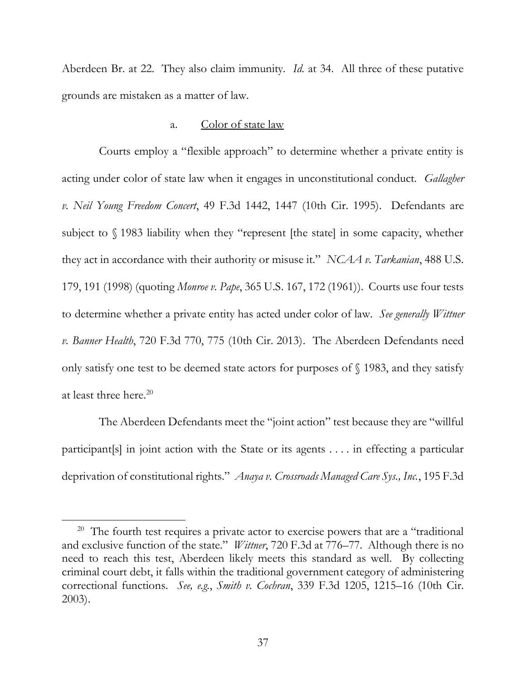<span id="page-47-1"></span> Aberdeen Br. at 22. They also claim immunity. *Id.* at 34. All three of these putative grounds are mistaken as a matter of law.

#### a. Color of state law

<span id="page-47-0"></span> Courts employ a "flexible approach" to determine whether a private entity is acting under color of state law when it engages in unconstitutional conduct. *Gallagher v. Neil Young Freedom Concert*, 49 F.3d 1442, 1447 (10th Cir. 1995). Defendants are subject to § 1983 liability when they "represent [the state] in some capacity, whether they act in accordance with their authority or misuse it." *NCAA v. Tarkanian*, 488 U.S. 179, 191 (1998) (quoting *Monroe v. Pape*, 365 U.S. 167, 172 (1961)). Courts use four tests to determine whether a private entity has acted under color of law. *See generally Wittner v. Banner Health*, 720 F.3d 770, 775 (10th Cir. 2013). The Aberdeen Defendants need only satisfy one test to be deemed state actors for purposes of § 1983, and they satisfy at least three here. 20

 The Aberdeen Defendants meet the "joint action" test because they are "willful participant[s] in joint action with the State or its agents . . . . in effecting a particular  deprivation of constitutional rights." *Anaya v. Crossroads Managed Care Sys., Inc.*, 195 F.3d

<sup>&</sup>lt;sup>20</sup> The fourth test requires a private actor to exercise powers that are a "traditional and exclusive function of the state." *Wittner*, 720 F.3d at 776–77. Although there is no need to reach this test, Aberdeen likely meets this standard as well. By collecting correctional functions. *See, e.g.*, *Smith v. Cochran*, 339 F.3d 1205, 1215–16 (10th Cir. criminal court debt, it falls within the traditional government category of administering 2003).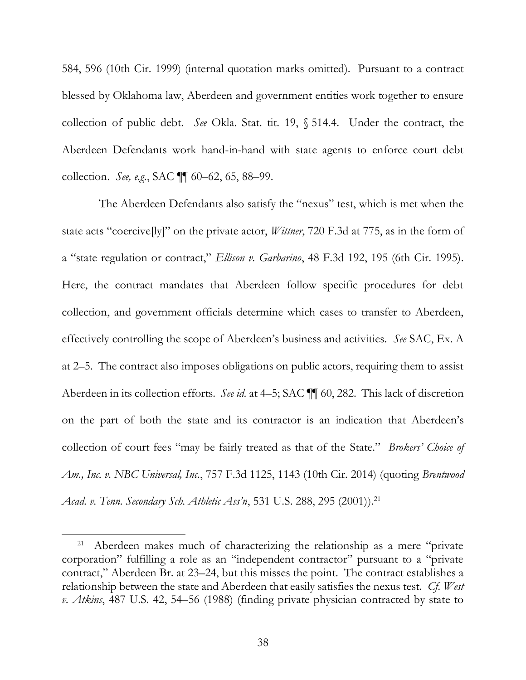<span id="page-48-0"></span> 584, 596 (10th Cir. 1999) (internal quotation marks omitted). Pursuant to a contract blessed by Oklahoma law, Aberdeen and government entities work together to ensure collection of public debt. *See* Okla. Stat. tit. 19, § 514.4. Under the contract, the Aberdeen Defendants work hand-in-hand with state agents to enforce court debt collection. *See, e.g.*, SAC ¶¶ 60–62, 65, 88–99.

 a "state regulation or contract," *Ellison v. Garbarino*, 48 F.3d 192, 195 (6th Cir. 1995). Here, the contract mandates that Aberdeen follow specific procedures for debt collection, and government officials determine which cases to transfer to Aberdeen, at 2–5. The contract also imposes obligations on public actors, requiring them to assist Aberdeen in its collection efforts. *See id.* at 4–5; SAC ¶¶ 60, 282. This lack of discretion on the part of both the state and its contractor is an indication that Aberdeen's collection of court fees "may be fairly treated as that of the State." *Brokers' Choice of Acad. v. Tenn. Secondary Sch. Athletic Ass'n*, 531 U.S. 288, 295 (2001)).21 The Aberdeen Defendants also satisfy the "nexus" test, which is met when the state acts "coercive[ly]" on the private actor, *Wittner*, 720 F.3d at 775, as in the form of effectively controlling the scope of Aberdeen's business and activities. *See* SAC, Ex. A *Am., Inc. v. NBC Universal, Inc.*, 757 F.3d 1125, 1143 (10th Cir. 2014) (quoting *Brentwood* 

<sup>&</sup>lt;sup>21</sup> Aberdeen makes much of characterizing the relationship as a mere "private corporation" fulfilling a role as an "independent contractor" pursuant to a "private relationship between the state and Aberdeen that easily satisfies the nexus test. *Cf. West v. Atkins*, 487 U.S. 42, 54–56 (1988) (finding private physician contracted by state to contract," Aberdeen Br. at 23–24, but this misses the point. The contract establishes a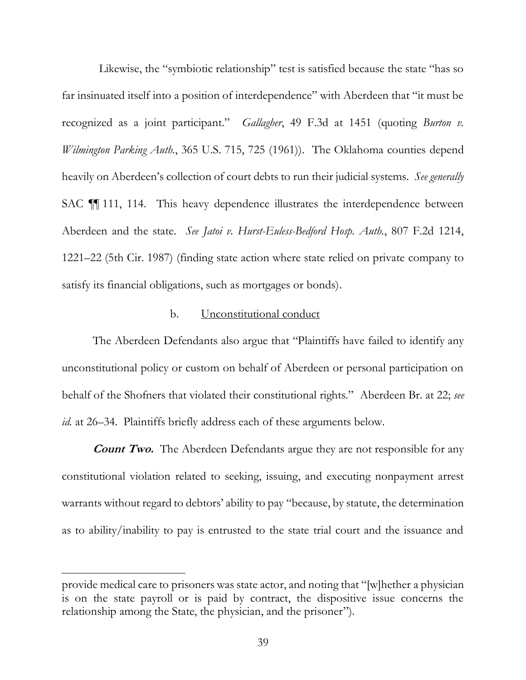<span id="page-49-1"></span> far insinuated itself into a position of interdependence" with Aberdeen that "it must be recognized as a joint participant." *Gallagher*, 49 F.3d at 1451 (quoting *Burton v. Wilmington Parking Auth.*, 365 U.S. 715, 725 (1961)). The Oklahoma counties depend heavily on Aberdeen's collection of court debts to run their judicial systems. *See generally*  SAC ¶¶ 111, 114. This heavy dependence illustrates the interdependence between Aberdeen and the state. *See Jatoi v. Hurst-Euless-Bedford Hosp. Auth.*, 807 F.2d 1214, 1221–22 (5th Cir. 1987) (finding state action where state relied on private company to Likewise, the "symbiotic relationship" test is satisfied because the state "has so satisfy its financial obligations, such as mortgages or bonds).

#### b. Unconstitutional conduct

<span id="page-49-0"></span> The Aberdeen Defendants also argue that "Plaintiffs have failed to identify any unconstitutional policy or custom on behalf of Aberdeen or personal participation on behalf of the Shofners that violated their constitutional rights." Aberdeen Br. at 22; *see id.* at 26–34. Plaintiffs briefly address each of these arguments below.

**Count Two.** The Aberdeen Defendants argue they are not responsible for any constitutional violation related to seeking, issuing, and executing nonpayment arrest warrants without regard to debtors' ability to pay "because, by statute, the determination as to ability/inability to pay is entrusted to the state trial court and the issuance and

 provide medical care to prisoners was state actor, and noting that "[w]hether a physician is on the state payroll or is paid by contract, the dispositive issue concerns the relationship among the State, the physician, and the prisoner").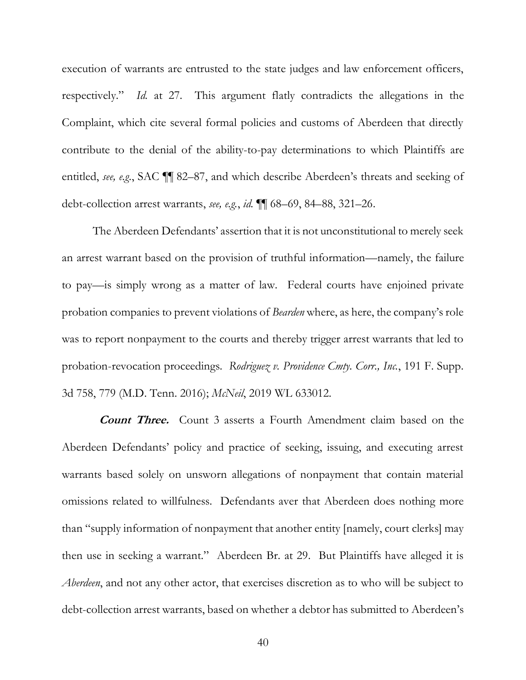<span id="page-50-0"></span> execution of warrants are entrusted to the state judges and law enforcement officers, respectively." *Id.* at 27. This argument flatly contradicts the allegations in the Complaint, which cite several formal policies and customs of Aberdeen that directly contribute to the denial of the ability-to-pay determinations to which Plaintiffs are entitled, *see, e.g.*, SAC ¶¶ 82–87, and which describe Aberdeen's threats and seeking of debt-collection arrest warrants, *see, e.g.*, *id.* ¶¶ 68–69, 84–88, 321–26.

 The Aberdeen Defendants' assertion that it is not unconstitutional to merely seek an arrest warrant based on the provision of truthful information—namely, the failure to pay—is simply wrong as a matter of law. Federal courts have enjoined private probation companies to prevent violations of *Bearden* where, as here, the company's role was to report nonpayment to the courts and thereby trigger arrest warrants that led to probation-revocation proceedings. *Rodriguez v. Providence Cmty. Corr., Inc.*, 191 F. Supp. 3d 758, 779 (M.D. Tenn. 2016); *McNeil*, 2019 WL 633012.

 **Count Three.** Count 3 asserts a Fourth Amendment claim based on the Aberdeen Defendants' policy and practice of seeking, issuing, and executing arrest warrants based solely on unsworn allegations of nonpayment that contain material omissions related to willfulness. Defendants aver that Aberdeen does nothing more than "supply information of nonpayment that another entity [namely, court clerks] may then use in seeking a warrant." Aberdeen Br. at 29. But Plaintiffs have alleged it is *Aberdeen*, and not any other actor, that exercises discretion as to who will be subject to debt-collection arrest warrants, based on whether a debtor has submitted to Aberdeen's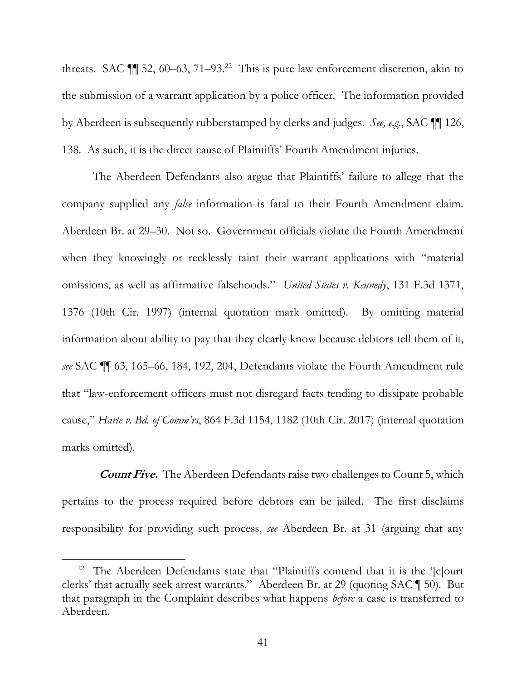<span id="page-51-0"></span>threats. SAC  $\P$  52, 60–63, 71–93.<sup>22</sup> This is pure law enforcement discretion, akin to the submission of a warrant application by a police officer. The information provided by Aberdeen is subsequently rubberstamped by clerks and judges. *See, e.g.*, SAC ¶¶ 126, 138. As such, it is the direct cause of Plaintiffs' Fourth Amendment injuries.

 The Aberdeen Defendants also argue that Plaintiffs' failure to allege that the company supplied any *false* information is fatal to their Fourth Amendment claim. when they knowingly or recklessly taint their warrant applications with "material omissions, as well as affirmative falsehoods." *United States v. Kennedy*, 131 F.3d 1371, 1376 (10th Cir. 1997) (internal quotation mark omitted). By omitting material information about ability to pay that they clearly know because debtors tell them of it, *see* SAC ¶¶ 63, 165–66, 184, 192, 204, Defendants violate the Fourth Amendment rule that "law-enforcement officers must not disregard facts tending to dissipate probable Aberdeen Br. at 29–30. Not so. Government officials violate the Fourth Amendment cause," *Harte v. Bd. of Comm'rs*, 864 F.3d 1154, 1182 (10th Cir. 2017) (internal quotation marks omitted).

 **Count Five.** The Aberdeen Defendants raise two challenges to Count 5, which pertains to the process required before debtors can be jailed. The first disclaims responsibility for providing such process, *see* Aberdeen Br. at 31 (arguing that any

<sup>&</sup>lt;sup>22</sup> The Aberdeen Defendants state that "Plaintiffs contend that it is the '[c]ourt that paragraph in the Complaint describes what happens *before* a case is transferred to clerks' that actually seek arrest warrants." Aberdeen Br. at 29 (quoting SAC ¶ 50). But Aberdeen.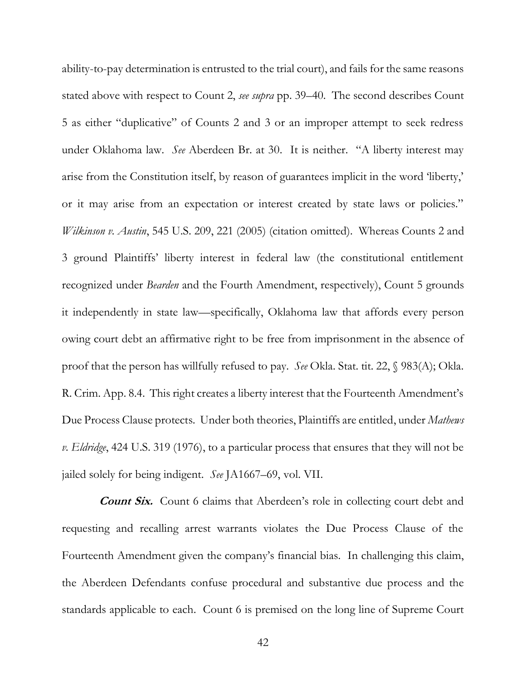<span id="page-52-0"></span> ability-to-pay determination is entrusted to the trial court), and fails for the same reasons 5 as either "duplicative" of Counts 2 and 3 or an improper attempt to seek redress under Oklahoma law. *See* Aberdeen Br. at 30. It is neither. "A liberty interest may or it may arise from an expectation or interest created by state laws or policies." 3 ground Plaintiffs' liberty interest in federal law (the constitutional entitlement recognized under *Bearden* and the Fourth Amendment, respectively), Count 5 grounds it independently in state law—specifically, Oklahoma law that affords every person owing court debt an affirmative right to be free from imprisonment in the absence of proof that the person has willfully refused to pay. *See* Okla. Stat. tit. 22, § 983(A); Okla. R. Crim. App. 8.4. This right creates a liberty interest that the Fourteenth Amendment's Due Process Clause protects. Under both theories, Plaintiffs are entitled, under *Mathews v. Eldridge*, 424 U.S. 319 (1976), to a particular process that ensures that they will not be stated above with respect to Count 2, *see supra* pp. 39–40. The second describes Count arise from the Constitution itself, by reason of guarantees implicit in the word 'liberty,' *Wilkinson v. Austin*, 545 U.S. 209, 221 (2005) (citation omitted). Whereas Counts 2 and jailed solely for being indigent. *See* JA1667–69, vol. VII.

 **Count Six.** Count 6 claims that Aberdeen's role in collecting court debt and requesting and recalling arrest warrants violates the Due Process Clause of the Fourteenth Amendment given the company's financial bias. In challenging this claim, the Aberdeen Defendants confuse procedural and substantive due process and the standards applicable to each. Count 6 is premised on the long line of Supreme Court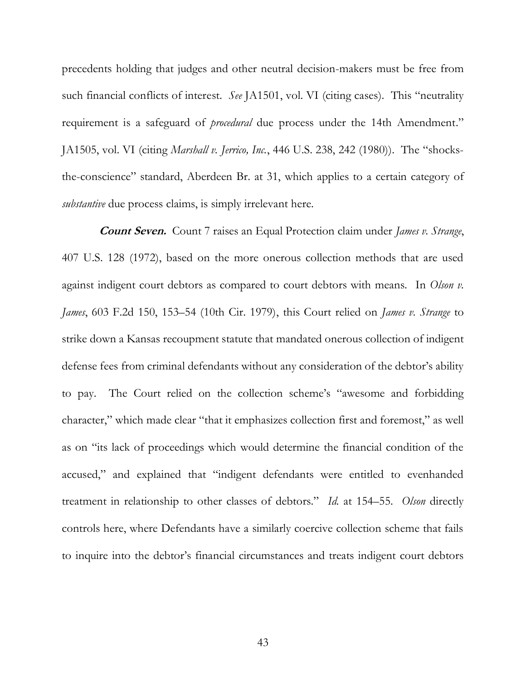<span id="page-53-0"></span> precedents holding that judges and other neutral decision-makers must be free from such financial conflicts of interest. *See* JA1501, vol. VI (citing cases). This "neutrality requirement is a safeguard of *procedural* due process under the 14th Amendment."  JA1505, vol. VI (citing *Marshall v. Jerrico, Inc.*, 446 U.S. 238, 242 (1980)). The "shocks- the-conscience" standard, Aberdeen Br. at 31, which applies to a certain category of *substantive* due process claims, is simply irrelevant here.

 **Count Seven.** Count 7 raises an Equal Protection claim under *James v. Strange*, 407 U.S. 128 (1972), based on the more onerous collection methods that are used against indigent court debtors as compared to court debtors with means. In *Olson v. James*, 603 F.2d 150, 153–54 (10th Cir. 1979), this Court relied on *James v. Strange* to strike down a Kansas recoupment statute that mandated onerous collection of indigent defense fees from criminal defendants without any consideration of the debtor's ability to pay. as on "its lack of proceedings which would determine the financial condition of the accused," and explained that "indigent defendants were entitled to evenhanded treatment in relationship to other classes of debtors." *Id.* at 154–55. *Olson* directly controls here, where Defendants have a similarly coercive collection scheme that fails to inquire into the debtor's financial circumstances and treats indigent court debtors The Court relied on the collection scheme's "awesome and forbidding character," which made clear "that it emphasizes collection first and foremost," as well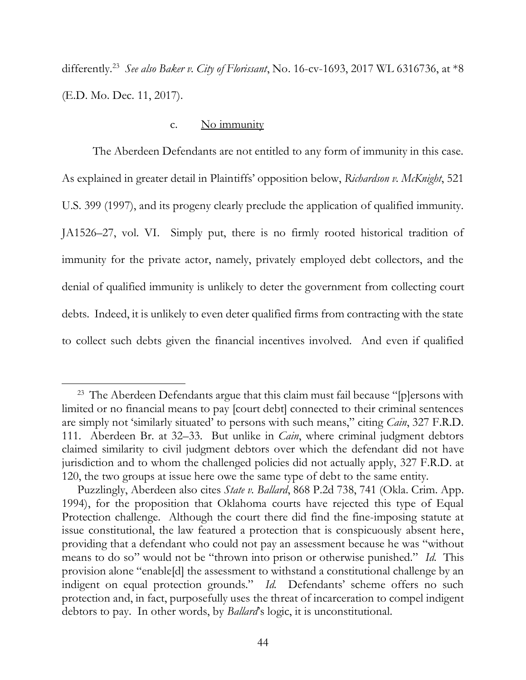<span id="page-54-1"></span> differently.23 *See also Baker v. City of Florissant*, No. 16-cv-1693, 2017 WL 6316736, at \*8 (E.D. Mo. Dec. 11, 2017).

## c. No immunity

<span id="page-54-0"></span> The Aberdeen Defendants are not entitled to any form of immunity in this case. As explained in greater detail in Plaintiffs' opposition below, *Richardson v. McKnight*, 521 U.S. 399 (1997), and its progeny clearly preclude the application of qualified immunity. U.S. 399 (1997), and its progeny clearly preclude the application of qualified immunity. JA1526–27, vol. VI. Simply put, there is no firmly rooted historical tradition of immunity for the private actor, namely, privately employed debt collectors, and the denial of qualified immunity is unlikely to deter the government from collecting court debts. Indeed, it is unlikely to even deter qualified firms from contracting with the state to collect such debts given the financial incentives involved. And even if qualified

 $23$  The Aberdeen Defendants argue that this claim must fail because "[p]ersons with 111. Aberdeen Br. at 32–33. But unlike in *Cain*, where criminal judgment debtors claimed similarity to civil judgment debtors over which the defendant did not have jurisdiction and to whom the challenged policies did not actually apply, 327 F.R.D. at 120, the two groups at issue here owe the same type of debt to the same entity. limited or no financial means to pay [court debt] connected to their criminal sentences are simply not 'similarly situated' to persons with such means," citing *Cain*, 327 F.R.D.

 1994), for the proposition that Oklahoma courts have rejected this type of Equal Protection challenge. Although the court there did find the fine-imposing statute at issue constitutional, the law featured a protection that is conspicuously absent here, providing that a defendant who could not pay an assessment because he was "without means to do so" would not be "thrown into prison or otherwise punished." *Id.* This provision alone "enable[d] the assessment to withstand a constitutional challenge by an indigent on equal protection grounds." *Id.* Defendants' scheme offers no such protection and, in fact, purposefully uses the threat of incarceration to compel indigent Puzzlingly, Aberdeen also cites *State v. Ballard*, 868 P.2d 738, 741 (Okla. Crim. App. debtors to pay. In other words, by *Ballard*'s logic, it is unconstitutional.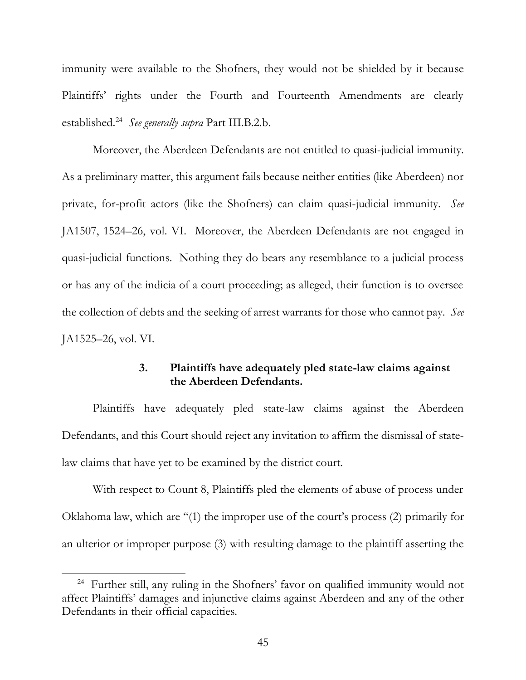immunity were available to the Shofners, they would not be shielded by it because Plaintiffs' rights under the Fourth and Fourteenth Amendments are clearly established.24 *See generally supra* Part III.B.2[.b.](#page-49-0)

Moreover, the Aberdeen Defendants are not entitled to quasi-judicial immunity. Moreover, the Aberdeen Defendants are not entitled to quasi-judicial immunity. As a preliminary matter, this argument fails because neither entities (like Aberdeen) nor private, for-profit actors (like the Shofners) can claim quasi-judicial immunity. *See*  JA1507, 1524–26, vol. VI. Moreover, the Aberdeen Defendants are not engaged in quasi-judicial functions. Nothing they do bears any resemblance to a judicial process or has any of the indicia of a court proceeding; as alleged, their function is to oversee the collection of debts and the seeking of arrest warrants for those who cannot pay. *See*  JA1525–26, vol. VI*.* 

# **3. Plaintiffs have adequately pled state-law claims against the Aberdeen Defendants.**

<span id="page-55-0"></span> Plaintiffs have adequately pled state-law claims against the Aberdeen Defendants, and this Court should reject any invitation to affirm the dismissal of statelaw claims that have yet to be examined by the district court.

 With respect to Count 8, Plaintiffs pled the elements of abuse of process under an ulterior or improper purpose (3) with resulting damage to the plaintiff asserting the Oklahoma law, which are "(1) the improper use of the court's process (2) primarily for

<sup>&</sup>lt;sup>24</sup> Further still, any ruling in the Shofners' favor on qualified immunity would not affect Plaintiffs' damages and injunctive claims against Aberdeen and any of the other Defendants in their official capacities.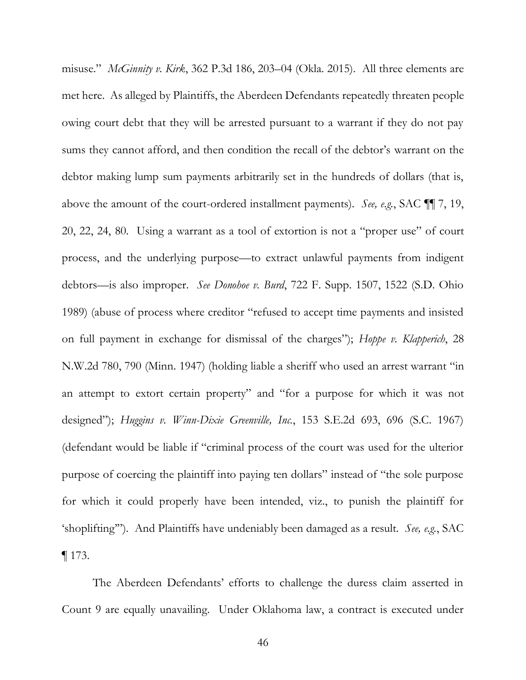<span id="page-56-0"></span>misuse." *McGinnity v. Kirk*, 362 P.3d 186, 203–04 (Okla. 2015). All three elements are met here. As alleged by Plaintiffs, the Aberdeen Defendants repeatedly threaten people owing court debt that they will be arrested pursuant to a warrant if they do not pay sums they cannot afford, and then condition the recall of the debtor's warrant on the debtor making lump sum payments arbitrarily set in the hundreds of dollars (that is, above the amount of the court-ordered installment payments). *See, e.g.*, SAC ¶¶ 7, 19, 20, 22, 24, 80. Using a warrant as a tool of extortion is not a "proper use" of court process, and the underlying purpose—to extract unlawful payments from indigent debtors—is also improper. *See Donohoe v. Burd*, 722 F. Supp. 1507, 1522 (S.D. Ohio 1989) (abuse of process where creditor "refused to accept time payments and insisted on full payment in exchange for dismissal of the charges"); *Hoppe v. Klapperich*, 28 N.W.2d 780, 790 (Minn. 1947) (holding liable a sheriff who used an arrest warrant "in an attempt to extort certain property" and "for a purpose for which it was not  designed"); *Huggins v. Winn-Dixie Greenville, Inc.*, 153 S.E.2d 693, 696 (S.C. 1967) (defendant would be liable if "criminal process of the court was used for the ulterior purpose of coercing the plaintiff into paying ten dollars" instead of "the sole purpose for which it could properly have been intended, viz., to punish the plaintiff for 'shoplifting'"). And Plaintiffs have undeniably been damaged as a result. *See, e.g.*, SAC ¶ 173.

 The Aberdeen Defendants' efforts to challenge the duress claim asserted in Count 9 are equally unavailing. Under Oklahoma law, a contract is executed under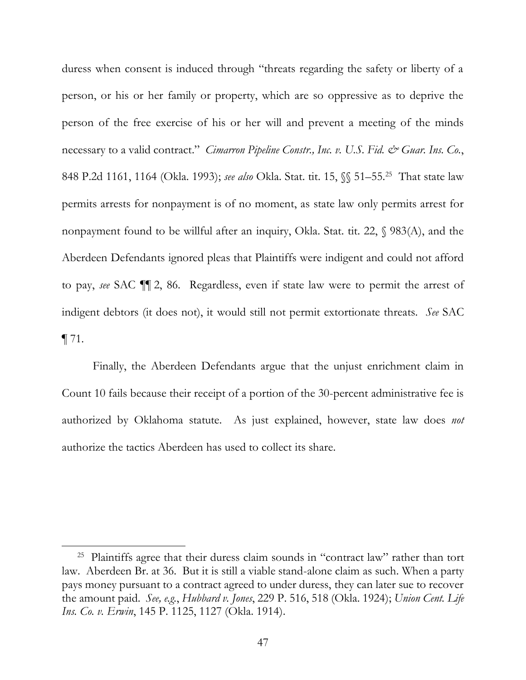<span id="page-57-0"></span> duress when consent is induced through "threats regarding the safety or liberty of a person, or his or her family or property, which are so oppressive as to deprive the person of the free exercise of his or her will and prevent a meeting of the minds necessary to a valid contract." *Cimarron Pipeline Constr., Inc. v. U.S. Fid. & Guar. Ins. Co.*, 848 P.2d 1161, 1164 (Okla. 1993); *see also* Okla. Stat. tit. 15, §§ 51–55. 25 That state law permits arrests for nonpayment is of no moment, as state law only permits arrest for nonpayment found to be willful after an inquiry, Okla. Stat. tit. 22, § 983(A), and the Aberdeen Defendants ignored pleas that Plaintiffs were indigent and could not afford to pay, *see* SAC ¶¶ 2, 86. Regardless, even if state law were to permit the arrest of indigent debtors (it does not), it would still not permit extortionate threats. *See* SAC  $\P$  71.

 Finally, the Aberdeen Defendants argue that the unjust enrichment claim in authorized by Oklahoma statute. As just explained, however, state law does *not*  Count 10 fails because their receipt of a portion of the 30-percent administrative fee is authorize the tactics Aberdeen has used to collect its share.

<sup>&</sup>lt;sup>25</sup> Plaintiffs agree that their duress claim sounds in "contract law" rather than tort pays money pursuant to a contract agreed to under duress, they can later sue to recover the amount paid. *See, e.g.*, *Hubbard v. Jones*, 229 P. 516, 518 (Okla. 1924); *Union Cent. Life*  law. Aberdeen Br. at 36. But it is still a viable stand-alone claim as such. When a party *Ins. Co. v. Erwin*, 145 P. 1125, 1127 (Okla. 1914).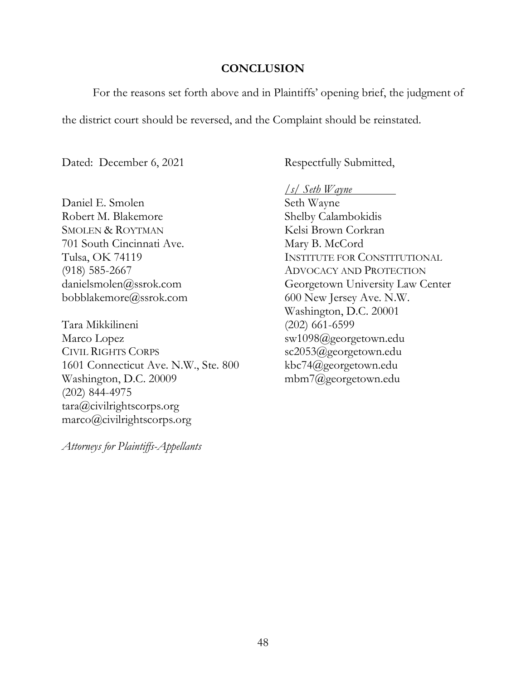## **CONCLUSION**

<span id="page-58-0"></span>For the reasons set forth above and in Plaintiffs' opening brief, the judgment of

the district court should be reversed, and the Complaint should be reinstated.

Dated: December 6, 2021

Daniel E. Smolen Seth Wayne Robert M. Blakemore Shelby Calambokidis SMOLEN & ROYTMAN Kelsi Brown Corkran 701 South Cincinnati Ave. Mary B. McCord

Tara Mikkilineni (202) 661-6599 Marco Lopez sw1098@georgetown.edu CIVIL RIGHTS CORPS<br>
1601 Connecticut Ave. N.W., Ste. 800 kbc74@georgetown.edu 1601 Connecticut Ave. N.W., Ste. 800 Washington, D.C. 20009 mbm7@georgetown.edu (202) 844-4975 tara@civilrightscorps.org marco@civilrightscorps.org

*Attorneys for Plaintiffs-Appellants* 

Respectfully Submitted,

*/s/ Seth Wayne* 

Tulsa, OK 74119 INSTITUTE FOR CONSTITUTIONAL (918) 585-2667 ADVOCACY AND PROTECTION danielsmolen@ssrok.com Georgetown University Law Center bobblakemore@ssrok.com 600 New Jersey Ave. N.W. Washington, D.C. 20001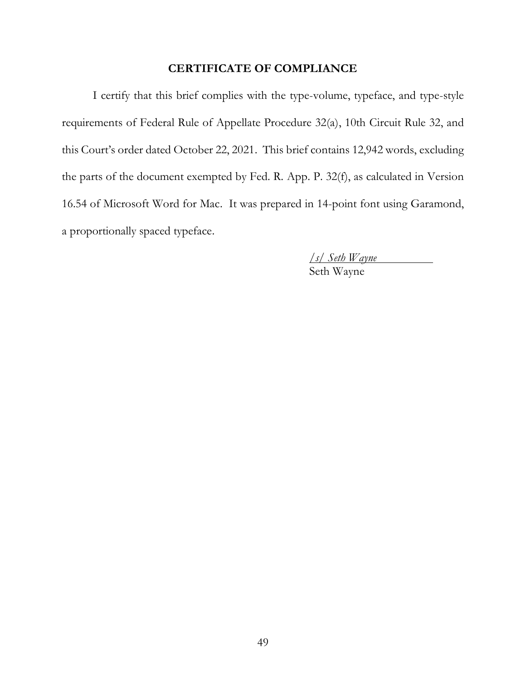## **CERTIFICATE OF COMPLIANCE**

<span id="page-59-0"></span> I certify that this brief complies with the type-volume, typeface, and type-style requirements of Federal Rule of Appellate Procedure 32(a), 10th Circuit Rule 32, and this Court's order dated October 22, 2021. This brief contains 12,942 words, excluding the parts of the document exempted by Fed. R. App. P. 32(f), as calculated in Version 16.54 of Microsoft Word for Mac. It was prepared in 14-point font using Garamond, a proportionally spaced typeface.

> */s/ Seth Wayne*  Seth Wayne